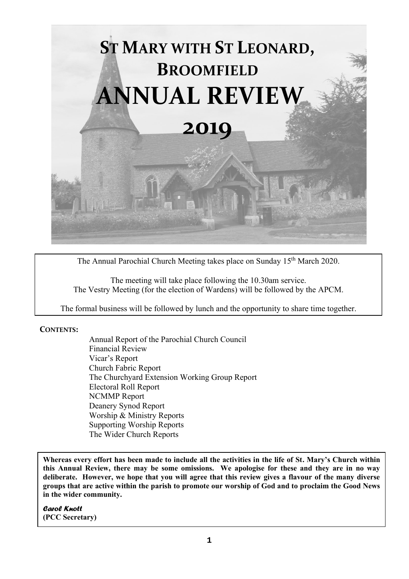

The Annual Parochial Church Meeting takes place on Sunday 15<sup>th</sup> March 2020.

The meeting will take place following the 10.30am service. The Vestry Meeting (for the election of Wardens) will be followed by the APCM.

The formal business will be followed by lunch and the opportunity to share time together.

#### **CONTENTS:**

Annual Report of the Parochial Church Council Financial Review Vicar's Report Church Fabric Report The Churchyard Extension Working Group Report Electoral Roll Report NCMMP Report Deanery Synod Report Worship & Ministry Reports Supporting Worship Reports The Wider Church Reports

**Whereas every effort has been made to include all the activities in the life of St. Mary's Church within this Annual Review, there may be some omissions. We apologise for these and they are in no way deliberate. However, we hope that you will agree that this review gives a flavour of the many diverse groups that are active within the parish to promote our worship of God and to proclaim the Good News in the wider community.** 

*Carol Knott* **(PCC Secretary)**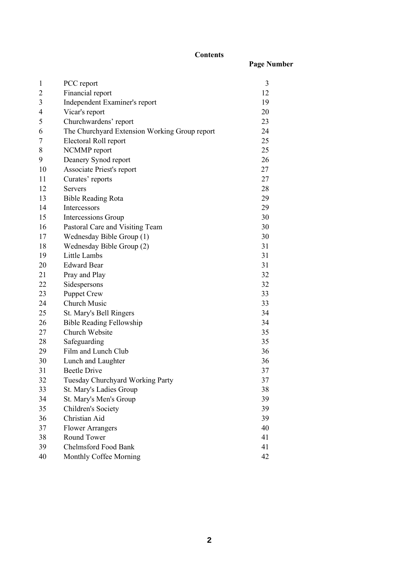#### **Contents**

**Page Number**

| $\mathbf{1}$   | PCC report                                    | 3  |
|----------------|-----------------------------------------------|----|
| $\overline{c}$ | Financial report                              | 12 |
| 3              | Independent Examiner's report                 | 19 |
| 4              | Vicar's report                                | 20 |
| 5              | Churchwardens' report                         | 23 |
| 6              | The Churchyard Extension Working Group report | 24 |
| 7              | Electoral Roll report                         | 25 |
| 8              | NCMMP report                                  | 25 |
| 9              | Deanery Synod report                          | 26 |
| 10             | Associate Priest's report                     | 27 |
| 11             | Curates' reports                              | 27 |
| 12             | <b>Servers</b>                                | 28 |
| 13             | <b>Bible Reading Rota</b>                     | 29 |
| 14             | Intercessors                                  | 29 |
| 15             | Intercessions Group                           | 30 |
| 16             | Pastoral Care and Visiting Team               | 30 |
| 17             | Wednesday Bible Group (1)                     | 30 |
| 18             | Wednesday Bible Group (2)                     | 31 |
| 19             | Little Lambs                                  | 31 |
| 20             | <b>Edward Bear</b>                            | 31 |
| 21             | Pray and Play                                 | 32 |
| 22             | Sidespersons                                  | 32 |
| 23             | <b>Puppet Crew</b>                            | 33 |
| 24             | Church Music                                  | 33 |
| 25             | St. Mary's Bell Ringers                       | 34 |
| 26             | <b>Bible Reading Fellowship</b>               | 34 |
| 27             | Church Website                                | 35 |
| 28             | Safeguarding                                  | 35 |
| 29             | Film and Lunch Club                           | 36 |
| 30             | Lunch and Laughter                            | 36 |
| 31             | <b>Beetle Drive</b>                           | 37 |
| 32             | Tuesday Churchyard Working Party              | 37 |
| 33             | St. Mary's Ladies Group                       | 38 |
| 34             | St. Mary's Men's Group                        | 39 |
| 35             | Children's Society                            | 39 |
| 36             | Christian Aid                                 | 39 |
| 37             | <b>Flower Arrangers</b>                       | 40 |
| 38             | Round Tower                                   | 41 |
| 39             | <b>Chelmsford Food Bank</b>                   | 41 |
| 40             | Monthly Coffee Morning                        | 42 |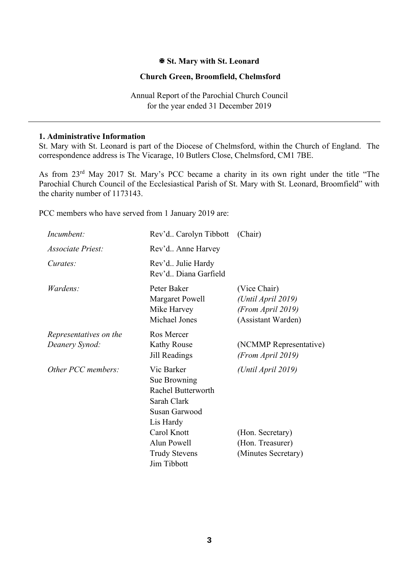### **St. Mary with St. Leonard**

#### **Church Green, Broomfield, Chelmsford**

Annual Report of the Parochial Church Council for the year ended 31 December 2019

#### **1. Administrative Information**

St. Mary with St. Leonard is part of the Diocese of Chelmsford, within the Church of England. The correspondence address is The Vicarage, 10 Butlers Close, Chelmsford, CM1 7BE.

As from 23rd May 2017 St. Mary's PCC became a charity in its own right under the title "The Parochial Church Council of the Ecclesiastical Parish of St. Mary with St. Leonard, Broomfield" with the charity number of 1173143.

PCC members who have served from 1 January 2019 are:

| Incumbent:                               | Rev'd Carolyn Tibbott (Chair)                                                                                                                                      |                                                                                   |  |
|------------------------------------------|--------------------------------------------------------------------------------------------------------------------------------------------------------------------|-----------------------------------------------------------------------------------|--|
| <i>Associate Priest:</i>                 | Rev'd Anne Harvey                                                                                                                                                  |                                                                                   |  |
| Curates:                                 | Rev'd Julie Hardy<br>Rev'd., Diana Garfield                                                                                                                        |                                                                                   |  |
| Wardens:                                 | Peter Baker<br><b>Margaret Powell</b><br>Mike Harvey<br>Michael Jones                                                                                              | (Vice Chair)<br>(Until April 2019)<br>(From April 2019)<br>(Assistant Warden)     |  |
| Representatives on the<br>Deanery Synod: | Ros Mercer<br><b>Kathy Rouse</b><br>Jill Readings                                                                                                                  | (NCMMP Representative)<br>(From April 2019)                                       |  |
| Other PCC members:                       | Vic Barker<br>Sue Browning<br>Rachel Butterworth<br>Sarah Clark<br>Susan Garwood<br>Lis Hardy<br>Carol Knott<br>Alun Powell<br><b>Trudy Stevens</b><br>Jim Tibbott | (Until April 2019)<br>(Hon. Secretary)<br>(Hon. Treasurer)<br>(Minutes Secretary) |  |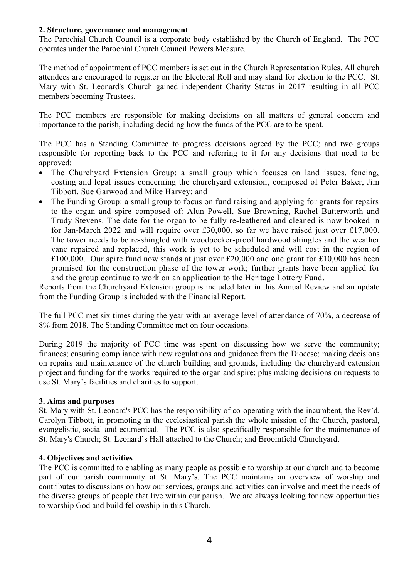#### **2. Structure, governance and management**

The Parochial Church Council is a corporate body established by the Church of England. The PCC operates under the Parochial Church Council Powers Measure.

The method of appointment of PCC members is set out in the Church Representation Rules. All church attendees are encouraged to register on the Electoral Roll and may stand for election to the PCC. St. Mary with St. Leonard's Church gained independent Charity Status in 2017 resulting in all PCC members becoming Trustees.

The PCC members are responsible for making decisions on all matters of general concern and importance to the parish, including deciding how the funds of the PCC are to be spent.

The PCC has a Standing Committee to progress decisions agreed by the PCC; and two groups responsible for reporting back to the PCC and referring to it for any decisions that need to be approved:

- The Churchyard Extension Group: a small group which focuses on land issues, fencing, costing and legal issues concerning the churchyard extension, composed of Peter Baker, Jim Tibbott, Sue Garwood and Mike Harvey; and
- The Funding Group: a small group to focus on fund raising and applying for grants for repairs to the organ and spire composed of: Alun Powell, Sue Browning, Rachel Butterworth and Trudy Stevens. The date for the organ to be fully re-leathered and cleaned is now booked in for Jan-March 2022 and will require over £30,000, so far we have raised just over £17,000. The tower needs to be re-shingled with woodpecker-proof hardwood shingles and the weather vane repaired and replaced, this work is yet to be scheduled and will cost in the region of £100,000. Our spire fund now stands at just over £20,000 and one grant for £10,000 has been promised for the construction phase of the tower work; further grants have been applied for and the group continue to work on an application to the Heritage Lottery Fund.

Reports from the Churchyard Extension group is included later in this Annual Review and an update from the Funding Group is included with the Financial Report.

The full PCC met six times during the year with an average level of attendance of 70%, a decrease of 8% from 2018. The Standing Committee met on four occasions.

During 2019 the majority of PCC time was spent on discussing how we serve the community; finances; ensuring compliance with new regulations and guidance from the Diocese; making decisions on repairs and maintenance of the church building and grounds, including the churchyard extension project and funding for the works required to the organ and spire; plus making decisions on requests to use St. Mary's facilities and charities to support.

#### **3. Aims and purposes**

St. Mary with St. Leonard's PCC has the responsibility of co-operating with the incumbent, the Rev'd. Carolyn Tibbott, in promoting in the ecclesiastical parish the whole mission of the Church, pastoral, evangelistic, social and ecumenical. The PCC is also specifically responsible for the maintenance of St. Mary's Church; St. Leonard's Hall attached to the Church; and Broomfield Churchyard.

#### **4. Objectives and activities**

The PCC is committed to enabling as many people as possible to worship at our church and to become part of our parish community at St. Mary's. The PCC maintains an overview of worship and contributes to discussions on how our services, groups and activities can involve and meet the needs of the diverse groups of people that live within our parish. We are always looking for new opportunities to worship God and build fellowship in this Church.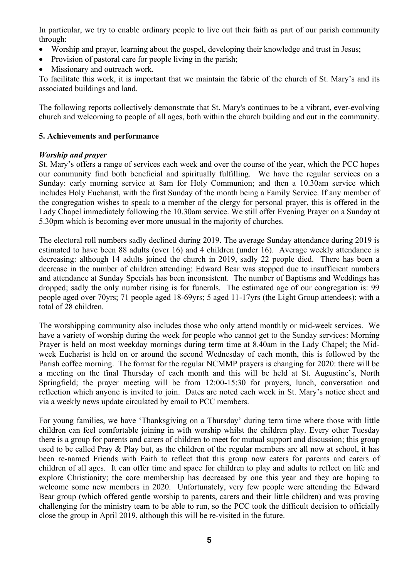In particular, we try to enable ordinary people to live out their faith as part of our parish community through:

- Worship and prayer, learning about the gospel, developing their knowledge and trust in Jesus;
- Provision of pastoral care for people living in the parish:
- Missionary and outreach work.

To facilitate this work, it is important that we maintain the fabric of the church of St. Mary's and its associated buildings and land.

The following reports collectively demonstrate that St. Mary's continues to be a vibrant, ever-evolving church and welcoming to people of all ages, both within the church building and out in the community.

### **5. Achievements and performance**

### *Worship and prayer*

St. Mary's offers a range of services each week and over the course of the year, which the PCC hopes our community find both beneficial and spiritually fulfilling. We have the regular services on a Sunday: early morning service at 8am for Holy Communion; and then a 10.30am service which includes Holy Eucharist, with the first Sunday of the month being a Family Service. If any member of the congregation wishes to speak to a member of the clergy for personal prayer, this is offered in the Lady Chapel immediately following the 10.30am service. We still offer Evening Prayer on a Sunday at 5.30pm which is becoming ever more unusual in the majority of churches.

The electoral roll numbers sadly declined during 2019. The average Sunday attendance during 2019 is estimated to have been 88 adults (over 16) and 4 children (under 16). Average weekly attendance is decreasing: although 14 adults joined the church in 2019, sadly 22 people died. There has been a decrease in the number of children attending: Edward Bear was stopped due to insufficient numbers and attendance at Sunday Specials has been inconsistent. The number of Baptisms and Weddings has dropped; sadly the only number rising is for funerals. The estimated age of our congregation is: 99 people aged over 70yrs; 71 people aged 18-69yrs; 5 aged 11-17yrs (the Light Group attendees); with a total of 28 children.

The worshipping community also includes those who only attend monthly or mid-week services. We have a variety of worship during the week for people who cannot get to the Sunday services: Morning Prayer is held on most weekday mornings during term time at 8.40am in the Lady Chapel; the Midweek Eucharist is held on or around the second Wednesday of each month, this is followed by the Parish coffee morning. The format for the regular NCMMP prayers is changing for 2020: there will be a meeting on the final Thursday of each month and this will be held at St. Augustine's, North Springfield; the prayer meeting will be from 12:00-15:30 for prayers, lunch, conversation and reflection which anyone is invited to join. Dates are noted each week in St. Mary's notice sheet and via a weekly news update circulated by email to PCC members.

For young families, we have 'Thanksgiving on a Thursday' during term time where those with little children can feel comfortable joining in with worship whilst the children play. Every other Tuesday there is a group for parents and carers of children to meet for mutual support and discussion; this group used to be called Pray & Play but, as the children of the regular members are all now at school, it has been re-named Friends with Faith to reflect that this group now caters for parents and carers of children of all ages. It can offer time and space for children to play and adults to reflect on life and explore Christianity; the core membership has decreased by one this year and they are hoping to welcome some new members in 2020. Unfortunately, very few people were attending the Edward Bear group (which offered gentle worship to parents, carers and their little children) and was proving challenging for the ministry team to be able to run, so the PCC took the difficult decision to officially close the group in April 2019, although this will be re-visited in the future.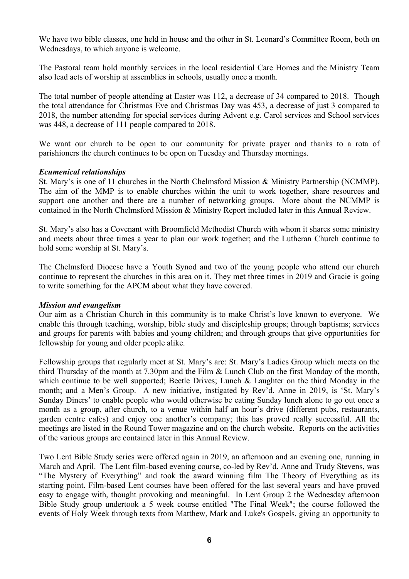We have two bible classes, one held in house and the other in St. Leonard's Committee Room, both on Wednesdays, to which anyone is welcome.

The Pastoral team hold monthly services in the local residential Care Homes and the Ministry Team also lead acts of worship at assemblies in schools, usually once a month.

The total number of people attending at Easter was 112, a decrease of 34 compared to 2018. Though the total attendance for Christmas Eve and Christmas Day was 453, a decrease of just 3 compared to 2018, the number attending for special services during Advent e.g. Carol services and School services was 448, a decrease of 111 people compared to 2018.

We want our church to be open to our community for private prayer and thanks to a rota of parishioners the church continues to be open on Tuesday and Thursday mornings.

#### *Ecumenical relationships*

St. Mary's is one of 11 churches in the North Chelmsford Mission & Ministry Partnership (NCMMP). The aim of the MMP is to enable churches within the unit to work together, share resources and support one another and there are a number of networking groups. More about the NCMMP is contained in the North Chelmsford Mission & Ministry Report included later in this Annual Review.

St. Mary's also has a Covenant with Broomfield Methodist Church with whom it shares some ministry and meets about three times a year to plan our work together; and the Lutheran Church continue to hold some worship at St. Mary's.

The Chelmsford Diocese have a Youth Synod and two of the young people who attend our church continue to represent the churches in this area on it. They met three times in 2019 and Gracie is going to write something for the APCM about what they have covered.

#### *Mission and evangelism*

Our aim as a Christian Church in this community is to make Christ's love known to everyone. We enable this through teaching, worship, bible study and discipleship groups; through baptisms; services and groups for parents with babies and young children; and through groups that give opportunities for fellowship for young and older people alike.

Fellowship groups that regularly meet at St. Mary's are: St. Mary's Ladies Group which meets on the third Thursday of the month at 7.30pm and the Film & Lunch Club on the first Monday of the month, which continue to be well supported; Beetle Drives; Lunch & Laughter on the third Monday in the month; and a Men's Group. A new initiative, instigated by Rev'd. Anne in 2019, is 'St. Mary's Sunday Diners' to enable people who would otherwise be eating Sunday lunch alone to go out once a month as a group, after church, to a venue within half an hour's drive (different pubs, restaurants, garden centre cafes) and enjoy one another's company; this has proved really successful. All the meetings are listed in the Round Tower magazine and on the church website. Reports on the activities of the various groups are contained later in this Annual Review.

Two Lent Bible Study series were offered again in 2019, an afternoon and an evening one, running in March and April. The Lent film-based evening course, co-led by Rev'd. Anne and Trudy Stevens, was "The Mystery of Everything" and took the award winning film The Theory of Everything as its starting point. Film-based Lent courses have been offered for the last several years and have proved easy to engage with, thought provoking and meaningful. In Lent Group 2 the Wednesday afternoon Bible Study group undertook a 5 week course entitled "The Final Week"; the course followed the events of Holy Week through texts from Matthew, Mark and Luke's Gospels, giving an opportunity to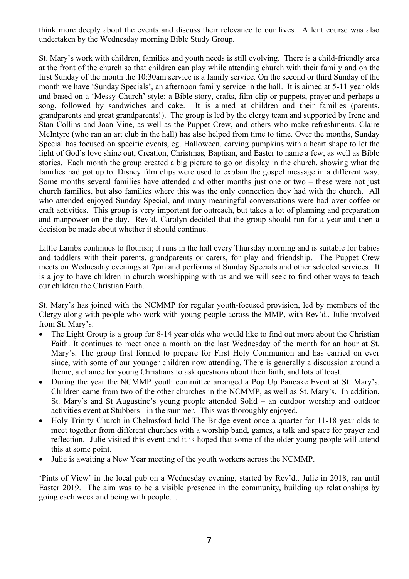think more deeply about the events and discuss their relevance to our lives. A lent course was also undertaken by the Wednesday morning Bible Study Group.

St. Mary's work with children, families and youth needs is still evolving. There is a child-friendly area at the front of the church so that children can play while attending church with their family and on the first Sunday of the month the 10:30am service is a family service. On the second or third Sunday of the month we have 'Sunday Specials', an afternoon family service in the hall. It is aimed at 5-11 year olds and based on a 'Messy Church' style: a Bible story, crafts, film clip or puppets, prayer and perhaps a song, followed by sandwiches and cake. It is aimed at children and their families (parents, grandparents and great grandparents!). The group is led by the clergy team and supported by Irene and Stan Collins and Joan Vine, as well as the Puppet Crew, and others who make refreshments. Claire McIntyre (who ran an art club in the hall) has also helped from time to time. Over the months, Sunday Special has focused on specific events, eg. Halloween, carving pumpkins with a heart shape to let the light of God's love shine out, Creation, Christmas, Baptism, and Easter to name a few, as well as Bible stories. Each month the group created a big picture to go on display in the church, showing what the families had got up to. Disney film clips were used to explain the gospel message in a different way. Some months several families have attended and other months just one or two – these were not just church families, but also families where this was the only connection they had with the church. All who attended enjoyed Sunday Special, and many meaningful conversations were had over coffee or craft activities. This group is very important for outreach, but takes a lot of planning and preparation and manpower on the day. Rev'd. Carolyn decided that the group should run for a year and then a decision be made about whether it should continue.

Little Lambs continues to flourish; it runs in the hall every Thursday morning and is suitable for babies and toddlers with their parents, grandparents or carers, for play and friendship. The Puppet Crew meets on Wednesday evenings at 7pm and performs at Sunday Specials and other selected services. It is a joy to have children in church worshipping with us and we will seek to find other ways to teach our children the Christian Faith.

St. Mary's has joined with the NCMMP for regular youth-focused provision, led by members of the Clergy along with people who work with young people across the MMP, with Rev'd.. Julie involved from St. Mary's:

- The Light Group is a group for 8-14 year olds who would like to find out more about the Christian Faith. It continues to meet once a month on the last Wednesday of the month for an hour at St. Mary's. The group first formed to prepare for First Holy Communion and has carried on ever since, with some of our younger children now attending. There is generally a discussion around a theme, a chance for young Christians to ask questions about their faith, and lots of toast.
- During the year the NCMMP youth committee arranged a Pop Up Pancake Event at St. Mary's. Children came from two of the other churches in the NCMMP, as well as St. Mary's. In addition, St. Mary's and St Augustine's young people attended Solid – an outdoor worship and outdoor activities event at Stubbers - in the summer. This was thoroughly enjoyed.
- Holy Trinity Church in Chelmsford hold The Bridge event once a quarter for 11-18 year olds to meet together from different churches with a worship band, games, a talk and space for prayer and reflection. Julie visited this event and it is hoped that some of the older young people will attend this at some point.
- Julie is awaiting a New Year meeting of the youth workers across the NCMMP.

'Pints of View' in the local pub on a Wednesday evening, started by Rev'd.. Julie in 2018, ran until Easter 2019. The aim was to be a visible presence in the community, building up relationships by going each week and being with people. .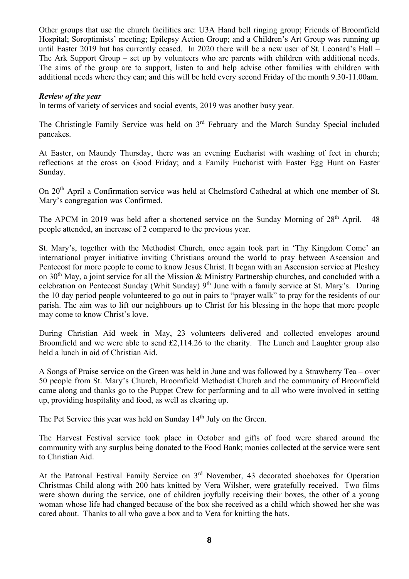Other groups that use the church facilities are: U3A Hand bell ringing group; Friends of Broomfield Hospital; Soroptimists' meeting; Epilepsy Action Group; and a Children's Art Group was running up until Easter 2019 but has currently ceased. In 2020 there will be a new user of St. Leonard's Hall – The Ark Support Group – set up by volunteers who are parents with children with additional needs. The aims of the group are to support, listen to and help advise other families with children with additional needs where they can; and this will be held every second Friday of the month 9.30-11.00am.

#### *Review of the year*

In terms of variety of services and social events, 2019 was another busy year.

The Christingle Family Service was held on 3<sup>rd</sup> February and the March Sunday Special included pancakes.

At Easter, on Maundy Thursday, there was an evening Eucharist with washing of feet in church; reflections at the cross on Good Friday; and a Family Eucharist with Easter Egg Hunt on Easter Sunday.

On 20<sup>th</sup> April a Confirmation service was held at Chelmsford Cathedral at which one member of St. Mary's congregation was Confirmed.

The APCM in 2019 was held after a shortened service on the Sunday Morning of 28<sup>th</sup> April. 48 people attended, an increase of 2 compared to the previous year.

St. Mary's, together with the Methodist Church, once again took part in 'Thy Kingdom Come' an international prayer initiative inviting Christians around the world to pray between Ascension and Pentecost for more people to come to know Jesus Christ. It began with an Ascension service at Pleshey on  $30<sup>th</sup>$  May, a joint service for all the Mission & Ministry Partnership churches, and concluded with a celebration on Pentecost Sunday (Whit Sunday)  $9<sup>th</sup>$  June with a family service at St. Mary's. During the 10 day period people volunteered to go out in pairs to "prayer walk" to pray for the residents of our parish. The aim was to lift our neighbours up to Christ for his blessing in the hope that more people may come to know Christ's love.

During Christian Aid week in May, 23 volunteers delivered and collected envelopes around Broomfield and we were able to send £2,114.26 to the charity. The Lunch and Laughter group also held a lunch in aid of Christian Aid.

A Songs of Praise service on the Green was held in June and was followed by a Strawberry Tea – over 50 people from St. Mary's Church, Broomfield Methodist Church and the community of Broomfield came along and thanks go to the Puppet Crew for performing and to all who were involved in setting up, providing hospitality and food, as well as clearing up.

The Pet Service this year was held on Sunday 14<sup>th</sup> July on the Green.

The Harvest Festival service took place in October and gifts of food were shared around the community with any surplus being donated to the Food Bank; monies collected at the service were sent to Christian Aid.

At the Patronal Festival Family Service on 3<sup>rd</sup> November, 43 decorated shoeboxes for Operation Christmas Child along with 200 hats knitted by Vera Wilsher, were gratefully received. Two films were shown during the service, one of children joyfully receiving their boxes, the other of a young woman whose life had changed because of the box she received as a child which showed her she was cared about. Thanks to all who gave a box and to Vera for knitting the hats.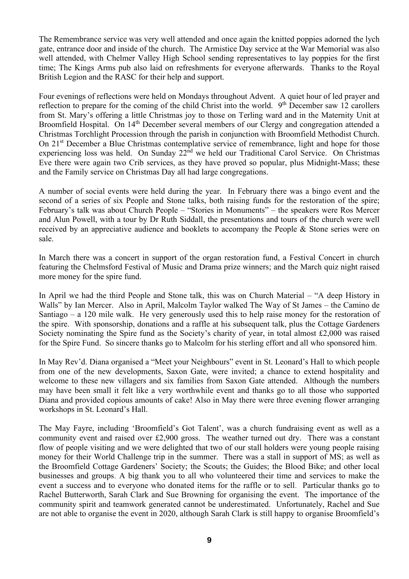The Remembrance service was very well attended and once again the knitted poppies adorned the lych gate, entrance door and inside of the church. The Armistice Day service at the War Memorial was also well attended, with Chelmer Valley High School sending representatives to lay poppies for the first time; The Kings Arms pub also laid on refreshments for everyone afterwards. Thanks to the Royal British Legion and the RASC for their help and support.

Four evenings of reflections were held on Mondays throughout Advent. A quiet hour of led prayer and reflection to prepare for the coming of the child Christ into the world. 9<sup>th</sup> December saw 12 carollers from St. Mary's offering a little Christmas joy to those on Terling ward and in the Maternity Unit at Broomfield Hospital. On 14<sup>th</sup> December several members of our Clergy and congregation attended a Christmas Torchlight Procession through the parish in conjunction with Broomfield Methodist Church. On 21<sup>st</sup> December a Blue Christmas contemplative service of remembrance, light and hope for those experiencing loss was held. On Sunday 22<sup>nd</sup> we held our Traditional Carol Service. On Christmas Eve there were again two Crib services, as they have proved so popular, plus Midnight-Mass; these and the Family service on Christmas Day all had large congregations.

A number of social events were held during the year. In February there was a bingo event and the second of a series of six People and Stone talks, both raising funds for the restoration of the spire; February's talk was about Church People – "Stories in Monuments" – the speakers were Ros Mercer and Alun Powell, with a tour by Dr Ruth Siddall, the presentations and tours of the church were well received by an appreciative audience and booklets to accompany the People & Stone series were on sale.

In March there was a concert in support of the organ restoration fund, a Festival Concert in church featuring the Chelmsford Festival of Music and Drama prize winners; and the March quiz night raised more money for the spire fund.

In April we had the third People and Stone talk, this was on Church Material – "A deep History in Walls" by Ian Mercer. Also in April, Malcolm Taylor walked The Way of St James – the Camino de Santiago – a 120 mile walk. He very generously used this to help raise money for the restoration of the spire. With sponsorship, donations and a raffle at his subsequent talk, plus the Cottage Gardeners Society nominating the Spire fund as the Society's charity of year, in total almost £2,000 was raised for the Spire Fund. So sincere thanks go to Malcolm for his sterling effort and all who sponsored him.

In May Rev'd. Diana organised a "Meet your Neighbours" event in St. Leonard's Hall to which people from one of the new developments, Saxon Gate, were invited; a chance to extend hospitality and welcome to these new villagers and six families from Saxon Gate attended. Although the numbers may have been small it felt like a very worthwhile event and thanks go to all those who supported Diana and provided copious amounts of cake! Also in May there were three evening flower arranging workshops in St. Leonard's Hall.

The May Fayre, including 'Broomfield's Got Talent', was a church fundraising event as well as a community event and raised over  $\text{\pounds}2,900$  gross. The weather turned out dry. There was a constant flow of people visiting and we were delighted that two of our stall holders were young people raising money for their World Challenge trip in the summer. There was a stall in support of MS; as well as the Broomfield Cottage Gardeners' Society; the Scouts; the Guides; the Blood Bike; and other local businesses and groups. A big thank you to all who volunteered their time and services to make the event a success and to everyone who donated items for the raffle or to sell. Particular thanks go to Rachel Butterworth, Sarah Clark and Sue Browning for organising the event. The importance of the community spirit and teamwork generated cannot be underestimated. Unfortunately, Rachel and Sue are not able to organise the event in 2020, although Sarah Clark is still happy to organise Broomfield's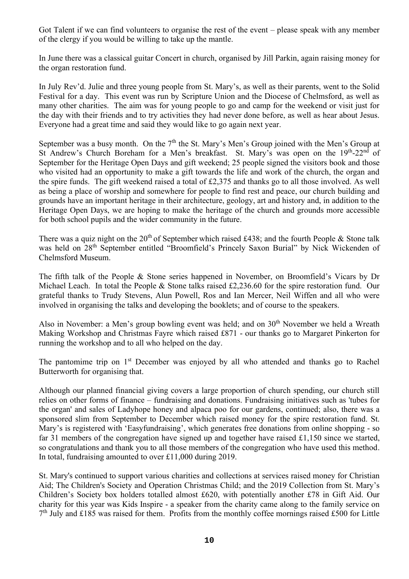Got Talent if we can find volunteers to organise the rest of the event – please speak with any member of the clergy if you would be willing to take up the mantle.

In June there was a classical guitar Concert in church, organised by Jill Parkin, again raising money for the organ restoration fund.

In July Rev'd. Julie and three young people from St. Mary's, as well as their parents, went to the Solid Festival for a day. This event was run by Scripture Union and the Diocese of Chelmsford, as well as many other charities. The aim was for young people to go and camp for the weekend or visit just for the day with their friends and to try activities they had never done before, as well as hear about Jesus. Everyone had a great time and said they would like to go again next year.

September was a busy month. On the  $7<sup>th</sup>$  the St. Mary's Men's Group joined with the Men's Group at St Andrew's Church Boreham for a Men's breakfast. St. Mary's was open on the 19th-22nd of September for the Heritage Open Days and gift weekend; 25 people signed the visitors book and those who visited had an opportunity to make a gift towards the life and work of the church, the organ and the spire funds. The gift weekend raised a total of £2,375 and thanks go to all those involved. As well as being a place of worship and somewhere for people to find rest and peace, our church building and grounds have an important heritage in their architecture, geology, art and history and, in addition to the Heritage Open Days, we are hoping to make the heritage of the church and grounds more accessible for both school pupils and the wider community in the future.

There was a quiz night on the  $20<sup>th</sup>$  of September which raised £438; and the fourth People & Stone talk was held on 28<sup>th</sup> September entitled "Broomfield's Princely Saxon Burial" by Nick Wickenden of Chelmsford Museum.

The fifth talk of the People & Stone series happened in November, on Broomfield's Vicars by Dr Michael Leach. In total the People & Stone talks raised £2,236.60 for the spire restoration fund. Our grateful thanks to Trudy Stevens, Alun Powell, Ros and Ian Mercer, Neil Wiffen and all who were involved in organising the talks and developing the booklets; and of course to the speakers.

Also in November: a Men's group bowling event was held; and on  $30<sup>th</sup>$  November we held a Wreath Making Workshop and Christmas Fayre which raised £871 - our thanks go to Margaret Pinkerton for running the workshop and to all who helped on the day.

The pantomime trip on 1<sup>st</sup> December was enjoyed by all who attended and thanks go to Rachel Butterworth for organising that.

Although our planned financial giving covers a large proportion of church spending, our church still relies on other forms of finance – fundraising and donations. Fundraising initiatives such as 'tubes for the organ' and sales of Ladyhope honey and alpaca poo for our gardens, continued; also, there was a sponsored slim from September to December which raised money for the spire restoration fund. St. Mary's is registered with 'Easyfundraising', which generates free donations from online shopping - so far 31 members of the congregation have signed up and together have raised £1,150 since we started, so congratulations and thank you to all those members of the congregation who have used this method. In total, fundraising amounted to over £11,000 during 2019.

St. Mary's continued to support various charities and collections at services raised money for Christian Aid; The Children's Society and Operation Christmas Child; and the 2019 Collection from St. Mary's Children's Society box holders totalled almost £620, with potentially another £78 in Gift Aid. Our charity for this year was Kids Inspire - a speaker from the charity came along to the family service on 7<sup>th</sup> July and £185 was raised for them. Profits from the monthly coffee mornings raised £500 for Little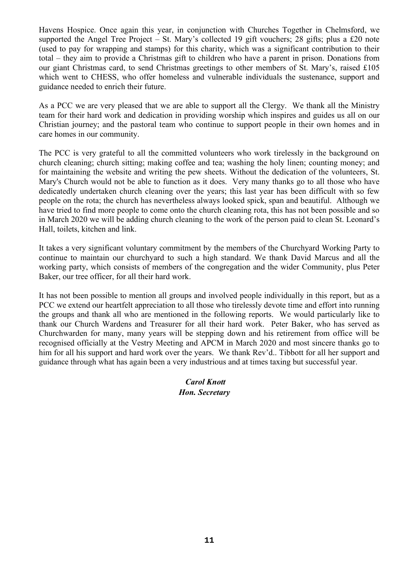Havens Hospice. Once again this year, in conjunction with Churches Together in Chelmsford, we supported the Angel Tree Project – St. Mary's collected 19 gift vouchers; 28 gifts; plus a £20 note (used to pay for wrapping and stamps) for this charity, which was a significant contribution to their total – they aim to provide a Christmas gift to children who have a parent in prison. Donations from our giant Christmas card, to send Christmas greetings to other members of St. Mary's, raised £105 which went to CHESS, who offer homeless and vulnerable individuals the sustenance, support and guidance needed to enrich their future.

As a PCC we are very pleased that we are able to support all the Clergy. We thank all the Ministry team for their hard work and dedication in providing worship which inspires and guides us all on our Christian journey; and the pastoral team who continue to support people in their own homes and in care homes in our community.

The PCC is very grateful to all the committed volunteers who work tirelessly in the background on church cleaning; church sitting; making coffee and tea; washing the holy linen; counting money; and for maintaining the website and writing the pew sheets. Without the dedication of the volunteers, St. Mary's Church would not be able to function as it does. Very many thanks go to all those who have dedicatedly undertaken church cleaning over the years; this last year has been difficult with so few people on the rota; the church has nevertheless always looked spick, span and beautiful. Although we have tried to find more people to come onto the church cleaning rota, this has not been possible and so in March 2020 we will be adding church cleaning to the work of the person paid to clean St. Leonard's Hall, toilets, kitchen and link.

It takes a very significant voluntary commitment by the members of the Churchyard Working Party to continue to maintain our churchyard to such a high standard. We thank David Marcus and all the working party, which consists of members of the congregation and the wider Community, plus Peter Baker, our tree officer, for all their hard work.

It has not been possible to mention all groups and involved people individually in this report, but as a PCC we extend our heartfelt appreciation to all those who tirelessly devote time and effort into running the groups and thank all who are mentioned in the following reports. We would particularly like to thank our Church Wardens and Treasurer for all their hard work. Peter Baker, who has served as Churchwarden for many, many years will be stepping down and his retirement from office will be recognised officially at the Vestry Meeting and APCM in March 2020 and most sincere thanks go to him for all his support and hard work over the years. We thank Rev'd.. Tibbott for all her support and guidance through what has again been a very industrious and at times taxing but successful year.

### *Carol Knott Hon. Secretary*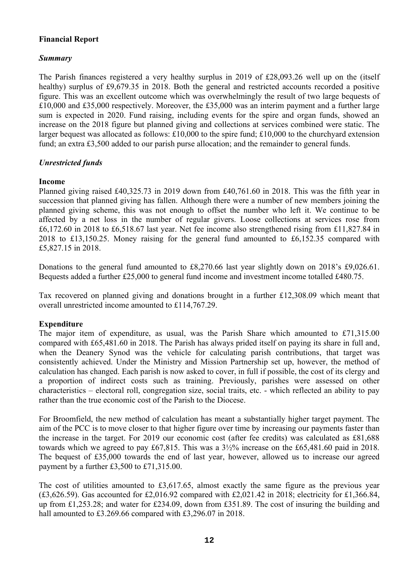### **Financial Report**

### *Summary*

The Parish finances registered a very healthy surplus in 2019 of £28,093.26 well up on the (itself healthy) surplus of £9,679.35 in 2018. Both the general and restricted accounts recorded a positive figure. This was an excellent outcome which was overwhelmingly the result of two large bequests of £10,000 and £35,000 respectively. Moreover, the £35,000 was an interim payment and a further large sum is expected in 2020. Fund raising, including events for the spire and organ funds, showed an increase on the 2018 figure but planned giving and collections at services combined were static. The larger bequest was allocated as follows: £10,000 to the spire fund; £10,000 to the churchyard extension fund; an extra £3,500 added to our parish purse allocation; and the remainder to general funds.

### *Unrestricted funds*

#### **Income**

Planned giving raised £40,325.73 in 2019 down from £40,761.60 in 2018. This was the fifth year in succession that planned giving has fallen. Although there were a number of new members joining the planned giving scheme, this was not enough to offset the number who left it. We continue to be affected by a net loss in the number of regular givers. Loose collections at services rose from £6,172.60 in 2018 to £6,518.67 last year. Net fee income also strengthened rising from £11,827.84 in 2018 to £13,150.25. Money raising for the general fund amounted to £6,152.35 compared with £5,827.15 in 2018.

Donations to the general fund amounted to £8,270.66 last year slightly down on 2018's £9,026.61. Bequests added a further £25,000 to general fund income and investment income totalled £480.75.

Tax recovered on planned giving and donations brought in a further £12,308.09 which meant that overall unrestricted income amounted to £114,767.29.

### **Expenditure**

The major item of expenditure, as usual, was the Parish Share which amounted to  $\text{\pounds}71,315.00$ compared with £65,481.60 in 2018. The Parish has always prided itself on paying its share in full and, when the Deanery Synod was the vehicle for calculating parish contributions, that target was consistently achieved. Under the Ministry and Mission Partnership set up, however, the method of calculation has changed. Each parish is now asked to cover, in full if possible, the cost of its clergy and a proportion of indirect costs such as training. Previously, parishes were assessed on other characteristics – electoral roll, congregation size, social traits, etc. - which reflected an ability to pay rather than the true economic cost of the Parish to the Diocese.

For Broomfield, the new method of calculation has meant a substantially higher target payment. The aim of the PCC is to move closer to that higher figure over time by increasing our payments faster than the increase in the target. For 2019 our economic cost (after fee credits) was calculated as £81,688 towards which we agreed to pay £67,815. This was a 3½% increase on the £65,481.60 paid in 2018. The bequest of £35,000 towards the end of last year, however, allowed us to increase our agreed payment by a further £3,500 to £71,315.00.

The cost of utilities amounted to £3,617.65, almost exactly the same figure as the previous year (£3,626.59). Gas accounted for £2,016.92 compared with £2,021.42 in 2018; electricity for £1,366.84, up from £1,253.28; and water for £234.09, down from £351.89. The cost of insuring the building and hall amounted to £3.269.66 compared with £3,296.07 in 2018.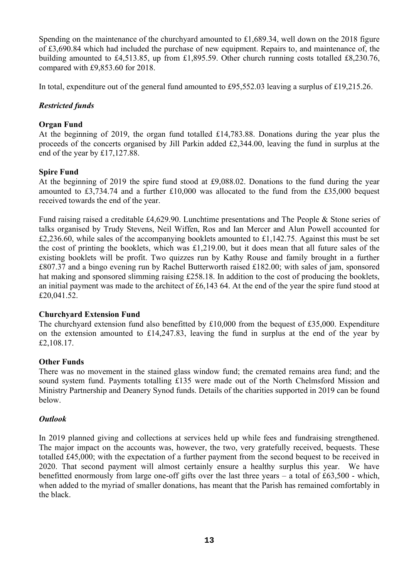Spending on the maintenance of the churchyard amounted to £1,689.34, well down on the 2018 figure of £3,690.84 which had included the purchase of new equipment. Repairs to, and maintenance of, the building amounted to £4,513.85, up from £1,895.59. Other church running costs totalled £8,230.76, compared with £9,853.60 for 2018.

In total, expenditure out of the general fund amounted to £95,552.03 leaving a surplus of £19,215.26.

### *Restricted funds*

### **Organ Fund**

At the beginning of 2019, the organ fund totalled £14,783.88. Donations during the year plus the proceeds of the concerts organised by Jill Parkin added £2,344.00, leaving the fund in surplus at the end of the year by £17,127.88.

### **Spire Fund**

At the beginning of 2019 the spire fund stood at £9,088.02. Donations to the fund during the year amounted to £3,734.74 and a further £10,000 was allocated to the fund from the £35,000 bequest received towards the end of the year.

Fund raising raised a creditable £4,629.90. Lunchtime presentations and The People & Stone series of talks organised by Trudy Stevens, Neil Wiffen, Ros and Ian Mercer and Alun Powell accounted for £2,236.60, while sales of the accompanying booklets amounted to £1,142.75. Against this must be set the cost of printing the booklets, which was £1,219.00, but it does mean that all future sales of the existing booklets will be profit. Two quizzes run by Kathy Rouse and family brought in a further £807.37 and a bingo evening run by Rachel Butterworth raised £182.00; with sales of jam, sponsored hat making and sponsored slimming raising £258.18. In addition to the cost of producing the booklets, an initial payment was made to the architect of £6,143 64. At the end of the year the spire fund stood at £20,041.52.

### **Churchyard Extension Fund**

The churchyard extension fund also benefitted by £10,000 from the bequest of £35,000. Expenditure on the extension amounted to £14,247.83, leaving the fund in surplus at the end of the year by £2,108.17.

#### **Other Funds**

There was no movement in the stained glass window fund; the cremated remains area fund; and the sound system fund. Payments totalling £135 were made out of the North Chelmsford Mission and Ministry Partnership and Deanery Synod funds. Details of the charities supported in 2019 can be found below.

#### *Outlook*

In 2019 planned giving and collections at services held up while fees and fundraising strengthened. The major impact on the accounts was, however, the two, very gratefully received, bequests. These totalled £45,000; with the expectation of a further payment from the second bequest to be received in 2020. That second payment will almost certainly ensure a healthy surplus this year. We have benefitted enormously from large one-off gifts over the last three years – a total of £63,500 - which, when added to the myriad of smaller donations, has meant that the Parish has remained comfortably in the black.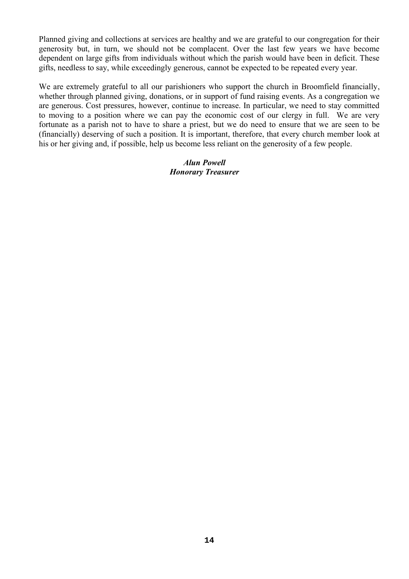Planned giving and collections at services are healthy and we are grateful to our congregation for their generosity but, in turn, we should not be complacent. Over the last few years we have become dependent on large gifts from individuals without which the parish would have been in deficit. These gifts, needless to say, while exceedingly generous, cannot be expected to be repeated every year.

We are extremely grateful to all our parishioners who support the church in Broomfield financially, whether through planned giving, donations, or in support of fund raising events. As a congregation we are generous. Cost pressures, however, continue to increase. In particular, we need to stay committed to moving to a position where we can pay the economic cost of our clergy in full. We are very fortunate as a parish not to have to share a priest, but we do need to ensure that we are seen to be (financially) deserving of such a position. It is important, therefore, that every church member look at his or her giving and, if possible, help us become less reliant on the generosity of a few people.

#### *Alun Powell Honorary Treasurer*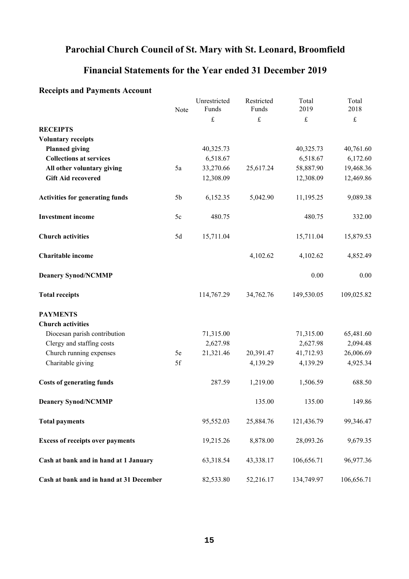### **Parochial Church Council of St. Mary with St. Leonard, Broomfield**

### **Financial Statements for the Year ended 31 December 2019**

### **Receipts and Payments Account**

|                                         | Note           | Unrestricted<br>Funds | Restricted<br>Funds | Total<br>2019 | Total<br>2018 |
|-----------------------------------------|----------------|-----------------------|---------------------|---------------|---------------|
|                                         |                | $\mathbf f$           | $\pounds$           | $\pounds$     | $\mathbf f$   |
| <b>RECEIPTS</b>                         |                |                       |                     |               |               |
| <b>Voluntary receipts</b>               |                |                       |                     |               |               |
| <b>Planned giving</b>                   |                | 40,325.73             |                     | 40,325.73     | 40,761.60     |
| <b>Collections at services</b>          |                | 6,518.67              |                     | 6,518.67      | 6,172.60      |
| All other voluntary giving              | 5a             | 33,270.66             | 25,617.24           | 58,887.90     | 19,468.36     |
| <b>Gift Aid recovered</b>               |                | 12,308.09             |                     | 12,308.09     | 12,469.86     |
| <b>Activities for generating funds</b>  | 5 <sub>b</sub> | 6,152.35              | 5,042.90            | 11,195.25     | 9,089.38      |
| <b>Investment</b> income                | 5c             | 480.75                |                     | 480.75        | 332.00        |
| <b>Church activities</b>                | 5d             | 15,711.04             |                     | 15,711.04     | 15,879.53     |
| Charitable income                       |                |                       | 4,102.62            | 4,102.62      | 4,852.49      |
| <b>Deanery Synod/NCMMP</b>              |                |                       |                     | 0.00          | 0.00          |
| <b>Total receipts</b>                   |                | 114,767.29            | 34,762.76           | 149,530.05    | 109,025.82    |
| <b>PAYMENTS</b>                         |                |                       |                     |               |               |
| <b>Church activities</b>                |                |                       |                     |               |               |
| Diocesan parish contribution            |                | 71,315.00             |                     | 71,315.00     | 65,481.60     |
| Clergy and staffing costs               |                | 2,627.98              |                     | 2,627.98      | 2,094.48      |
| Church running expenses                 | $5\mathrm{e}$  | 21,321.46             | 20,391.47           | 41,712.93     | 26,006.69     |
| Charitable giving                       | 5f             |                       | 4,139.29            | 4,139.29      | 4,925.34      |
| <b>Costs of generating funds</b>        |                | 287.59                | 1,219.00            | 1,506.59      | 688.50        |
| <b>Deanery Synod/NCMMP</b>              |                |                       | 135.00              | 135.00        | 149.86        |
| <b>Total payments</b>                   |                | 95,552.03             | 25,884.76           | 121,436.79    | 99,346.47     |
| <b>Excess of receipts over payments</b> |                | 19,215.26             | 8,878.00            | 28,093.26     | 9,679.35      |
| Cash at bank and in hand at 1 January   |                | 63,318.54             | 43,338.17           | 106,656.71    | 96,977.36     |
| Cash at bank and in hand at 31 December |                | 82,533.80             | 52,216.17           | 134,749.97    | 106,656.71    |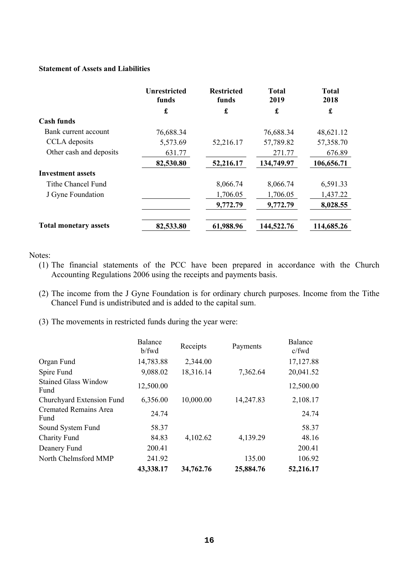#### **Statement of Assets and Liabilities**

|                              | <b>Unrestricted</b><br>funds | <b>Restricted</b><br>funds | <b>Total</b><br>2019 | <b>Total</b><br>2018 |
|------------------------------|------------------------------|----------------------------|----------------------|----------------------|
|                              | £                            | £                          | £                    | £                    |
| <b>Cash funds</b>            |                              |                            |                      |                      |
| Bank current account         | 76,688.34                    |                            | 76,688.34            | 48,621.12            |
| CCLA deposits                | 5,573.69                     | 52,216.17                  | 57,789.82            | 57,358.70            |
| Other cash and deposits      | 631.77                       |                            | 271.77               | 676.89               |
|                              | 82,530.80                    | 52,216.17                  | 134,749.97           | 106,656.71           |
| <b>Investment assets</b>     |                              |                            |                      |                      |
| Tithe Chancel Fund           |                              | 8,066.74                   | 8,066.74             | 6,591.33             |
| J Gyne Foundation            |                              | 1,706.05                   | 1,706.05             | 1,437.22             |
|                              |                              | 9,772.79                   | 9,772.79             | 8,028.55             |
| <b>Total monetary assets</b> | 82,533.80                    | 61,988.96                  | 144,522.76           | 114,685.26           |

Notes:

- (1) The financial statements of the PCC have been prepared in accordance with the Church Accounting Regulations 2006 using the receipts and payments basis.
- (2) The income from the J Gyne Foundation is for ordinary church purposes. Income from the Tithe Chancel Fund is undistributed and is added to the capital sum.
- (3) The movements in restricted funds during the year were:

|                                      | Balance<br>b/fwd | Receipts  | Payments  | Balance<br>$c$ /fwd |
|--------------------------------------|------------------|-----------|-----------|---------------------|
| Organ Fund                           | 14,783.88        | 2,344.00  |           | 17,127.88           |
| Spire Fund                           | 9,088.02         | 18,316.14 | 7,362.64  | 20,041.52           |
| <b>Stained Glass Window</b><br>Fund  | 12,500.00        |           |           | 12,500.00           |
| Churchyard Extension Fund            | 6,356.00         | 10,000.00 | 14,247.83 | 2,108.17            |
| <b>Cremated Remains Area</b><br>Fund | 24.74            |           |           | 24.74               |
| Sound System Fund                    | 58.37            |           |           | 58.37               |
| <b>Charity Fund</b>                  | 84.83            | 4,102.62  | 4,139.29  | 48.16               |
| Deanery Fund                         | 200.41           |           |           | 200.41              |
| North Chelmsford MMP                 | 241.92           |           | 135.00    | 106.92              |
|                                      | 43,338.17        | 34,762.76 | 25,884.76 | 52,216.17           |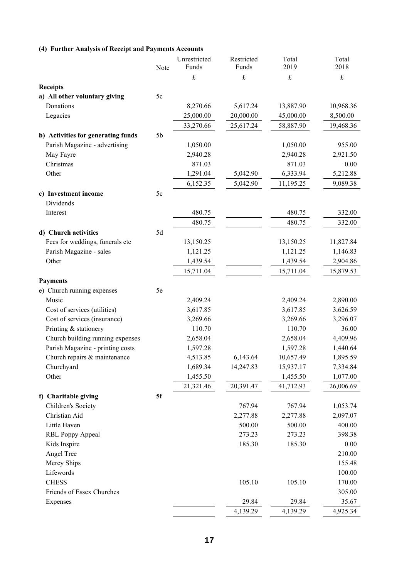#### **(4) Further Analysis of Receipt and Payments Accounts**

|                                            | Note           | Unrestricted<br>Funds | Restricted<br>Funds | Total<br>2019 | Total<br>2018 |
|--------------------------------------------|----------------|-----------------------|---------------------|---------------|---------------|
|                                            |                |                       |                     |               | $\pounds$     |
|                                            |                | £                     | £                   | $\pounds$     |               |
| <b>Receipts</b>                            |                |                       |                     |               |               |
| a) All other voluntary giving<br>Donations | 5c             |                       |                     |               |               |
|                                            |                | 8,270.66              | 5,617.24            | 13,887.90     | 10,968.36     |
| Legacies                                   |                | 25,000.00             | 20,000.00           | 45,000.00     | 8,500.00      |
|                                            |                | 33,270.66             | 25,617.24           | 58,887.90     | 19,468.36     |
| b) Activities for generating funds         | 5 <sub>b</sub> |                       |                     |               |               |
| Parish Magazine - advertising              |                | 1,050.00              |                     | 1,050.00      | 955.00        |
| May Fayre                                  |                | 2,940.28              |                     | 2,940.28      | 2,921.50      |
| Christmas                                  |                | 871.03                |                     | 871.03        | 0.00          |
| Other                                      |                | 1,291.04              | 5,042.90            | 6,333.94      | 5,212.88      |
|                                            |                | 6,152.35              | 5,042.90            | 11,195.25     | 9,089.38      |
| c) Investment income                       | 5c             |                       |                     |               |               |
| Dividends                                  |                |                       |                     |               |               |
| Interest                                   |                | 480.75                |                     | 480.75        | 332.00        |
|                                            |                | 480.75                |                     | 480.75        | 332.00        |
| d) Church activities                       | 5d             |                       |                     |               |               |
| Fees for weddings, funerals etc            |                | 13,150.25             |                     | 13,150.25     | 11,827.84     |
| Parish Magazine - sales                    |                | 1,121.25              |                     | 1,121.25      | 1,146.83      |
| Other                                      |                | 1,439.54              |                     | 1,439.54      | 2,904.86      |
|                                            |                | 15,711.04             |                     | 15,711.04     | 15,879.53     |
| <b>Payments</b>                            |                |                       |                     |               |               |
| e) Church running expenses                 | 5e             |                       |                     |               |               |
| Music                                      |                | 2,409.24              |                     | 2,409.24      | 2,890.00      |
| Cost of services (utilities)               |                | 3,617.85              |                     | 3,617.85      | 3,626.59      |
| Cost of services (insurance)               |                | 3,269.66              |                     | 3,269.66      | 3,296.07      |
| Printing & stationery                      |                | 110.70                |                     | 110.70        | 36.00         |
| Church building running expenses           |                | 2,658.04              |                     | 2,658.04      | 4,409.96      |
| Parish Magazine - printing costs           |                | 1,597.28              |                     | 1,597.28      | 1,440.64      |
| Church repairs & maintenance               |                | 4,513.85              | 6,143.64            | 10,657.49     | 1,895.59      |
| Churchyard                                 |                | 1,689.34              | 14,247.83           | 15,937.17     | 7,334.84      |
| Other                                      |                | 1,455.50              |                     | 1,455.50      | 1,077.00      |
|                                            |                | 21,321.46             | 20,391.47           | 41,712.93     | 26,006.69     |
| f) Charitable giving                       | 5f             |                       |                     |               |               |
| Children's Society                         |                |                       | 767.94              | 767.94        | 1,053.74      |
| Christian Aid                              |                |                       | 2,277.88            | 2,277.88      | 2,097.07      |
| Little Haven                               |                |                       | 500.00              | 500.00        | 400.00        |
| RBL Poppy Appeal                           |                |                       | 273.23              | 273.23        | 398.38        |
| Kids Inspire                               |                |                       | 185.30              | 185.30        | 0.00          |
| Angel Tree                                 |                |                       |                     |               | 210.00        |
| Mercy Ships                                |                |                       |                     |               | 155.48        |
| Lifewords                                  |                |                       |                     |               | 100.00        |
| <b>CHESS</b>                               |                |                       | 105.10              | 105.10        | 170.00        |
| Friends of Essex Churches                  |                |                       |                     |               | 305.00        |
| Expenses                                   |                |                       | 29.84               | 29.84         | 35.67         |
|                                            |                |                       | 4,139.29            | 4,139.29      | 4,925.34      |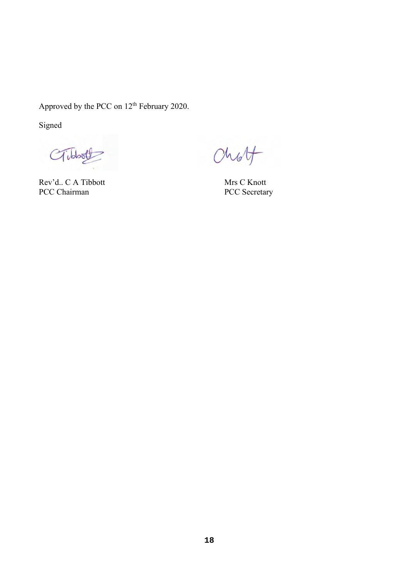Approved by the PCC on  $12<sup>th</sup>$  February 2020.

Signed

Gibbot

Rev'd.. C A Tibbott Rev'd.. C A Tibbott<br>
PCC Chairman PCC Secretary

Chot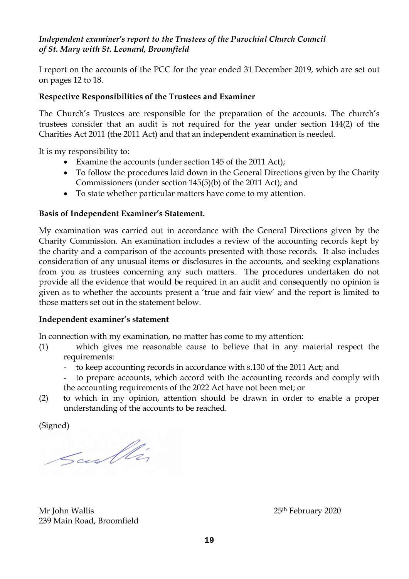### *Independent examiner's report to the Trustees of the Parochial Church Council of St. Mary with St. Leonard, Broomfield*

I report on the accounts of the PCC for the year ended 31 December 2019, which are set out on pages 12 to 18.

### **Respective Responsibilities of the Trustees and Examiner**

The Church's Trustees are responsible for the preparation of the accounts. The church's trustees consider that an audit is not required for the year under section 144(2) of the Charities Act 2011 (the 2011 Act) and that an independent examination is needed.

It is my responsibility to:

- Examine the accounts (under section 145 of the 2011 Act);
- To follow the procedures laid down in the General Directions given by the Charity Commissioners (under section 145(5)(b) of the 2011 Act); and
- To state whether particular matters have come to my attention.

### **Basis of Independent Examiner's Statement.**

My examination was carried out in accordance with the General Directions given by the Charity Commission. An examination includes a review of the accounting records kept by the charity and a comparison of the accounts presented with those records. It also includes consideration of any unusual items or disclosures in the accounts, and seeking explanations from you as trustees concerning any such matters. The procedures undertaken do not provide all the evidence that would be required in an audit and consequently no opinion is given as to whether the accounts present a 'true and fair view' and the report is limited to those matters set out in the statement below.

### **Independent examiner's statement**

In connection with my examination, no matter has come to my attention:

- (1) which gives me reasonable cause to believe that in any material respect the requirements:
	- to keep accounting records in accordance with s.130 of the 2011 Act; and
	- to prepare accounts, which accord with the accounting records and comply with the accounting requirements of the 2022 Act have not been met; or
- (2) to which in my opinion, attention should be drawn in order to enable a proper understanding of the accounts to be reached.

(Signed)

Scullin

Mr John Wallis 25<sup>th</sup> February 2020 239 Main Road, Broomfield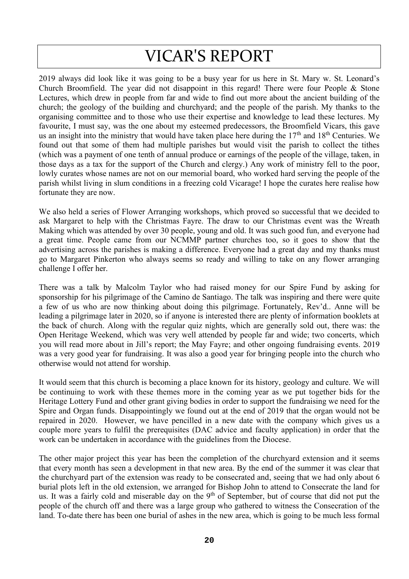# VICAR'S REPORT

2019 always did look like it was going to be a busy year for us here in St. Mary w. St. Leonard's Church Broomfield. The year did not disappoint in this regard! There were four People & Stone Lectures, which drew in people from far and wide to find out more about the ancient building of the church; the geology of the building and churchyard; and the people of the parish. My thanks to the organising committee and to those who use their expertise and knowledge to lead these lectures. My favourite, I must say, was the one about my esteemed predecessors, the Broomfield Vicars, this gave us an insight into the ministry that would have taken place here during the 17<sup>th</sup> and 18<sup>th</sup> Centuries. We found out that some of them had multiple parishes but would visit the parish to collect the tithes (which was a payment of one tenth of annual produce or earnings of the people of the village, taken, in those days as a tax for the support of the Church and clergy.) Any work of ministry fell to the poor, lowly curates whose names are not on our memorial board, who worked hard serving the people of the parish whilst living in slum conditions in a freezing cold Vicarage! I hope the curates here realise how fortunate they are now.

We also held a series of Flower Arranging workshops, which proved so successful that we decided to ask Margaret to help with the Christmas Fayre. The draw to our Christmas event was the Wreath Making which was attended by over 30 people, young and old. It was such good fun, and everyone had a great time. People came from our NCMMP partner churches too, so it goes to show that the advertising across the parishes is making a difference. Everyone had a great day and my thanks must go to Margaret Pinkerton who always seems so ready and willing to take on any flower arranging challenge I offer her.

There was a talk by Malcolm Taylor who had raised money for our Spire Fund by asking for sponsorship for his pilgrimage of the Camino de Santiago. The talk was inspiring and there were quite a few of us who are now thinking about doing this pilgrimage. Fortunately, Rev'd.. Anne will be leading a pilgrimage later in 2020, so if anyone is interested there are plenty of information booklets at the back of church. Along with the regular quiz nights, which are generally sold out, there was: the Open Heritage Weekend, which was very well attended by people far and wide; two concerts, which you will read more about in Jill's report; the May Fayre; and other ongoing fundraising events. 2019 was a very good year for fundraising. It was also a good year for bringing people into the church who otherwise would not attend for worship.

It would seem that this church is becoming a place known for its history, geology and culture. We will be continuing to work with these themes more in the coming year as we put together bids for the Heritage Lottery Fund and other grant giving bodies in order to support the fundraising we need for the Spire and Organ funds. Disappointingly we found out at the end of 2019 that the organ would not be repaired in 2020. However, we have pencilled in a new date with the company which gives us a couple more years to fulfil the prerequisites (DAC advice and faculty application) in order that the work can be undertaken in accordance with the guidelines from the Diocese.

The other major project this year has been the completion of the churchyard extension and it seems that every month has seen a development in that new area. By the end of the summer it was clear that the churchyard part of the extension was ready to be consecrated and, seeing that we had only about 6 burial plots left in the old extension, we arranged for Bishop John to attend to Consecrate the land for us. It was a fairly cold and miserable day on the 9<sup>th</sup> of September, but of course that did not put the people of the church off and there was a large group who gathered to witness the Consecration of the land. To-date there has been one burial of ashes in the new area, which is going to be much less formal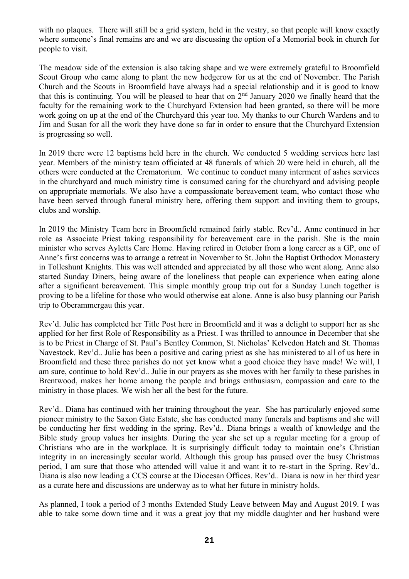with no plaques. There will still be a grid system, held in the vestry, so that people will know exactly where someone's final remains are and we are discussing the option of a Memorial book in church for people to visit.

The meadow side of the extension is also taking shape and we were extremely grateful to Broomfield Scout Group who came along to plant the new hedgerow for us at the end of November. The Parish Church and the Scouts in Broomfield have always had a special relationship and it is good to know that this is continuing. You will be pleased to hear that on  $2<sup>nd</sup>$  January 2020 we finally heard that the faculty for the remaining work to the Churchyard Extension had been granted, so there will be more work going on up at the end of the Churchyard this year too. My thanks to our Church Wardens and to Jim and Susan for all the work they have done so far in order to ensure that the Churchyard Extension is progressing so well.

In 2019 there were 12 baptisms held here in the church. We conducted 5 wedding services here last year. Members of the ministry team officiated at 48 funerals of which 20 were held in church, all the others were conducted at the Crematorium. We continue to conduct many interment of ashes services in the churchyard and much ministry time is consumed caring for the churchyard and advising people on appropriate memorials. We also have a compassionate bereavement team, who contact those who have been served through funeral ministry here, offering them support and inviting them to groups, clubs and worship.

In 2019 the Ministry Team here in Broomfield remained fairly stable. Rev'd.. Anne continued in her role as Associate Priest taking responsibility for bereavement care in the parish. She is the main minister who serves Ayletts Care Home. Having retired in October from a long career as a GP, one of Anne's first concerns was to arrange a retreat in November to St. John the Baptist Orthodox Monastery in Tolleshunt Knights. This was well attended and appreciated by all those who went along. Anne also started Sunday Diners, being aware of the loneliness that people can experience when eating alone after a significant bereavement. This simple monthly group trip out for a Sunday Lunch together is proving to be a lifeline for those who would otherwise eat alone. Anne is also busy planning our Parish trip to Oberammergau this year.

Rev'd. Julie has completed her Title Post here in Broomfield and it was a delight to support her as she applied for her first Role of Responsibility as a Priest. I was thrilled to announce in December that she is to be Priest in Charge of St. Paul's Bentley Common, St. Nicholas' Kelvedon Hatch and St. Thomas Navestock. Rev'd.. Julie has been a positive and caring priest as she has ministered to all of us here in Broomfield and these three parishes do not yet know what a good choice they have made! We will, I am sure, continue to hold Rev'd.. Julie in our prayers as she moves with her family to these parishes in Brentwood, makes her home among the people and brings enthusiasm, compassion and care to the ministry in those places. We wish her all the best for the future.

Rev'd.. Diana has continued with her training throughout the year. She has particularly enjoyed some pioneer ministry to the Saxon Gate Estate, she has conducted many funerals and baptisms and she will be conducting her first wedding in the spring. Rev'd.. Diana brings a wealth of knowledge and the Bible study group values her insights. During the year she set up a regular meeting for a group of Christians who are in the workplace. It is surprisingly difficult today to maintain one's Christian integrity in an increasingly secular world. Although this group has paused over the busy Christmas period, I am sure that those who attended will value it and want it to re-start in the Spring. Rev'd.. Diana is also now leading a CCS course at the Diocesan Offices. Rev'd.. Diana is now in her third year as a curate here and discussions are underway as to what her future in ministry holds.

As planned, I took a period of 3 months Extended Study Leave between May and August 2019. I was able to take some down time and it was a great joy that my middle daughter and her husband were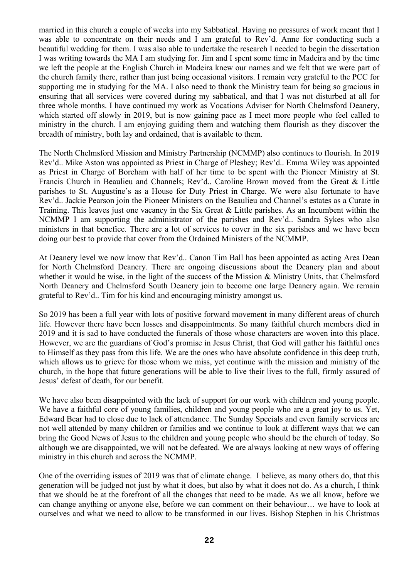married in this church a couple of weeks into my Sabbatical. Having no pressures of work meant that I was able to concentrate on their needs and I am grateful to Rev'd. Anne for conducting such a beautiful wedding for them. I was also able to undertake the research I needed to begin the dissertation I was writing towards the MA I am studying for. Jim and I spent some time in Madeira and by the time we left the people at the English Church in Madeira knew our names and we felt that we were part of the church family there, rather than just being occasional visitors. I remain very grateful to the PCC for supporting me in studying for the MA. I also need to thank the Ministry team for being so gracious in ensuring that all services were covered during my sabbatical, and that I was not disturbed at all for three whole months. I have continued my work as Vocations Adviser for North Chelmsford Deanery, which started off slowly in 2019, but is now gaining pace as I meet more people who feel called to ministry in the church. I am enjoying guiding them and watching them flourish as they discover the breadth of ministry, both lay and ordained, that is available to them.

The North Chelmsford Mission and Ministry Partnership (NCMMP) also continues to flourish. In 2019 Rev'd.. Mike Aston was appointed as Priest in Charge of Pleshey; Rev'd.. Emma Wiley was appointed as Priest in Charge of Boreham with half of her time to be spent with the Pioneer Ministry at St. Francis Church in Beaulieu and Channels; Rev'd.. Caroline Brown moved from the Great & Little parishes to St. Augustine's as a House for Duty Priest in Charge. We were also fortunate to have Rev'd.. Jackie Pearson join the Pioneer Ministers on the Beaulieu and Channel's estates as a Curate in Training. This leaves just one vacancy in the Six Great & Little parishes. As an Incumbent within the NCMMP I am supporting the administrator of the parishes and Rev'd.. Sandra Sykes who also ministers in that benefice. There are a lot of services to cover in the six parishes and we have been doing our best to provide that cover from the Ordained Ministers of the NCMMP.

At Deanery level we now know that Rev'd.. Canon Tim Ball has been appointed as acting Area Dean for North Chelmsford Deanery. There are ongoing discussions about the Deanery plan and about whether it would be wise, in the light of the success of the Mission & Ministry Units, that Chelmsford North Deanery and Chelmsford South Deanery join to become one large Deanery again. We remain grateful to Rev'd.. Tim for his kind and encouraging ministry amongst us.

So 2019 has been a full year with lots of positive forward movement in many different areas of church life. However there have been losses and disappointments. So many faithful church members died in 2019 and it is sad to have conducted the funerals of those whose characters are woven into this place. However, we are the guardians of God's promise in Jesus Christ, that God will gather his faithful ones to Himself as they pass from this life. We are the ones who have absolute confidence in this deep truth, which allows us to grieve for those whom we miss, yet continue with the mission and ministry of the church, in the hope that future generations will be able to live their lives to the full, firmly assured of Jesus' defeat of death, for our benefit.

We have also been disappointed with the lack of support for our work with children and young people. We have a faithful core of young families, children and young people who are a great joy to us. Yet, Edward Bear had to close due to lack of attendance. The Sunday Specials and even family services are not well attended by many children or families and we continue to look at different ways that we can bring the Good News of Jesus to the children and young people who should be the church of today. So although we are disappointed, we will not be defeated. We are always looking at new ways of offering ministry in this church and across the NCMMP.

One of the overriding issues of 2019 was that of climate change. I believe, as many others do, that this generation will be judged not just by what it does, but also by what it does not do. As a church, I think that we should be at the forefront of all the changes that need to be made. As we all know, before we can change anything or anyone else, before we can comment on their behaviour… we have to look at ourselves and what we need to allow to be transformed in our lives. Bishop Stephen in his Christmas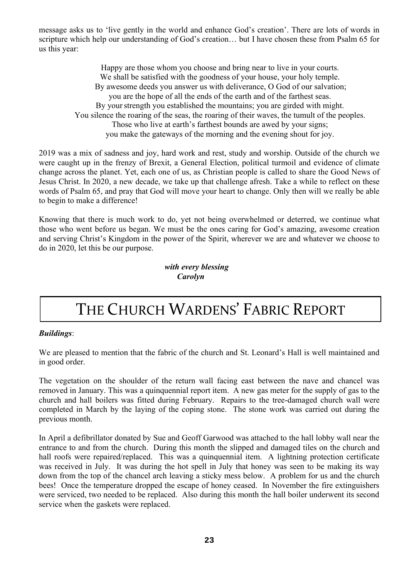message asks us to 'live gently in the world and enhance God's creation'. There are lots of words in scripture which help our understanding of God's creation… but I have chosen these from Psalm 65 for us this year:

> Happy are those whom you choose and bring near to live in your courts. We shall be satisfied with the goodness of your house, your holy temple. By awesome deeds you answer us with deliverance, O God of our salvation; you are the hope of all the ends of the earth and of the farthest seas. By yourstrength you established the mountains; you are girded with might. You silence the roaring of the seas, the roaring of their waves, the tumult of the peoples. Those who live at earth's farthest bounds are awed by your signs; you make the gateways of the morning and the evening shout for joy.

2019 was a mix of sadness and joy, hard work and rest, study and worship. Outside of the church we were caught up in the frenzy of Brexit, a General Election, political turmoil and evidence of climate change across the planet. Yet, each one of us, as Christian people is called to share the Good News of Jesus Christ. In 2020, a new decade, we take up that challenge afresh. Take a while to reflect on these words of Psalm 65, and pray that God will move your heart to change. Only then will we really be able to begin to make a difference!

Knowing that there is much work to do, yet not being overwhelmed or deterred, we continue what those who went before us began. We must be the ones caring for God's amazing, awesome creation and serving Christ's Kingdom in the power of the Spirit, wherever we are and whatever we choose to do in 2020, let this be our purpose.

### *with every blessing Carolyn*

# THE CHURCH WARDENS' FABRIC REPORT

### *Buildings*:

We are pleased to mention that the fabric of the church and St. Leonard's Hall is well maintained and in good order.

The vegetation on the shoulder of the return wall facing east between the nave and chancel was removed in January. This was a quinquennial report item. A new gas meter for the supply of gas to the church and hall boilers was fitted during February. Repairs to the tree-damaged church wall were completed in March by the laying of the coping stone. The stone work was carried out during the previous month.

In April a defibrillator donated by Sue and Geoff Garwood was attached to the hall lobby wall near the entrance to and from the church. During this month the slipped and damaged tiles on the church and hall roofs were repaired/replaced. This was a quinquennial item. A lightning protection certificate was received in July. It was during the hot spell in July that honey was seen to be making its way down from the top of the chancel arch leaving a sticky mess below. A problem for us and the church bees! Once the temperature dropped the escape of honey ceased. In November the fire extinguishers were serviced, two needed to be replaced. Also during this month the hall boiler underwent its second service when the gaskets were replaced.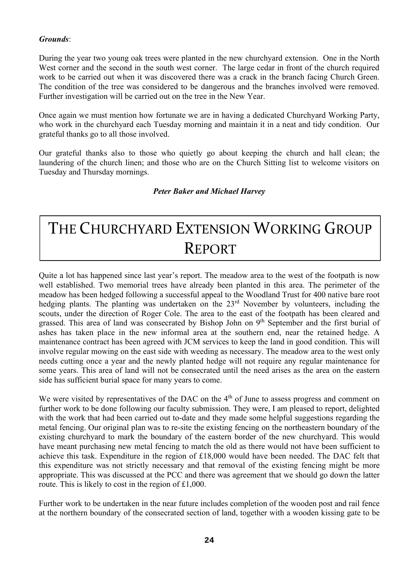### *Grounds*:

During the year two young oak trees were planted in the new churchyard extension. One in the North West corner and the second in the south west corner. The large cedar in front of the church required work to be carried out when it was discovered there was a crack in the branch facing Church Green. The condition of the tree was considered to be dangerous and the branches involved were removed. Further investigation will be carried out on the tree in the New Year.

Once again we must mention how fortunate we are in having a dedicated Churchyard Working Party, who work in the churchyard each Tuesday morning and maintain it in a neat and tidy condition. Our grateful thanks go to all those involved.

Our grateful thanks also to those who quietly go about keeping the church and hall clean; the laundering of the church linen; and those who are on the Church Sitting list to welcome visitors on Tuesday and Thursday mornings.

### *Peter Baker and Michael Harvey*

# THE CHURCHYARD EXTENSION WORKING GROUP REPORT

Quite a lot has happened since last year's report. The meadow area to the west of the footpath is now well established. Two memorial trees have already been planted in this area. The perimeter of the meadow has been hedged following a successful appeal to the Woodland Trust for 400 native bare root hedging plants. The planting was undertaken on the 23<sup>rd</sup> November by volunteers, including the scouts, under the direction of Roger Cole. The area to the east of the footpath has been cleared and grassed. This area of land was consecrated by Bishop John on 9<sup>th</sup> September and the first burial of ashes has taken place in the new informal area at the southern end, near the retained hedge. A maintenance contract has been agreed with JCM services to keep the land in good condition. This will involve regular mowing on the east side with weeding as necessary. The meadow area to the west only needs cutting once a year and the newly planted hedge will not require any regular maintenance for some years. This area of land will not be consecrated until the need arises as the area on the eastern side has sufficient burial space for many years to come.

We were visited by representatives of the DAC on the  $4<sup>th</sup>$  of June to assess progress and comment on further work to be done following our faculty submission. They were, I am pleased to report, delighted with the work that had been carried out to-date and they made some helpful suggestions regarding the metal fencing. Our original plan was to re-site the existing fencing on the northeastern boundary of the existing churchyard to mark the boundary of the eastern border of the new churchyard. This would have meant purchasing new metal fencing to match the old as there would not have been sufficient to achieve this task. Expenditure in the region of £18,000 would have been needed. The DAC felt that this expenditure was not strictly necessary and that removal of the existing fencing might be more appropriate. This was discussed at the PCC and there was agreement that we should go down the latter route. This is likely to cost in the region of £1,000.

Further work to be undertaken in the near future includes completion of the wooden post and rail fence at the northern boundary of the consecrated section of land, together with a wooden kissing gate to be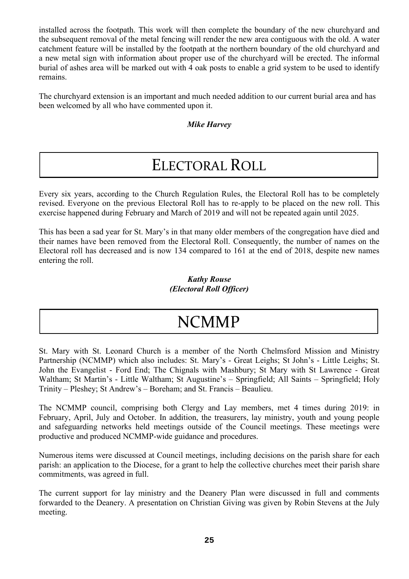installed across the footpath. This work will then complete the boundary of the new churchyard and the subsequent removal of the metal fencing will render the new area contiguous with the old. A water catchment feature will be installed by the footpath at the northern boundary of the old churchyard and a new metal sign with information about proper use of the churchyard will be erected. The informal burial of ashes area will be marked out with 4 oak posts to enable a grid system to be used to identify remains.

The churchyard extension is an important and much needed addition to our current burial area and has been welcomed by all who have commented upon it.

### *Mike Harvey*

## ELECTORAL ROLL

Every six years, according to the Church Regulation Rules, the Electoral Roll has to be completely revised. Everyone on the previous Electoral Roll has to re-apply to be placed on the new roll. This exercise happened during February and March of 2019 and will not be repeated again until 2025.

This has been a sad year for St. Mary's in that many older members of the congregation have died and their names have been removed from the Electoral Roll. Consequently, the number of names on the Electoral roll has decreased and is now 134 compared to 161 at the end of 2018, despite new names entering the roll.

### *Kathy Rouse (Electoral Roll Officer)*

# NCMMP

St. Mary with St. Leonard Church is a member of the North Chelmsford Mission and Ministry Partnership (NCMMP) which also includes: St. Mary's - Great Leighs; St John's - Little Leighs; St. John the Evangelist - Ford End; The Chignals with Mashbury; St Mary with St Lawrence - Great Waltham; St Martin's - Little Waltham; St Augustine's – Springfield; All Saints – Springfield; Holy Trinity – Pleshey; St Andrew's – Boreham; and St. Francis – Beaulieu.

The NCMMP council, comprising both Clergy and Lay members, met 4 times during 2019: in February, April, July and October. In addition, the treasurers, lay ministry, youth and young people and safeguarding networks held meetings outside of the Council meetings. These meetings were productive and produced NCMMP-wide guidance and procedures.

Numerous items were discussed at Council meetings, including decisions on the parish share for each parish: an application to the Diocese, for a grant to help the collective churches meet their parish share commitments, was agreed in full.

The current support for lay ministry and the Deanery Plan were discussed in full and comments forwarded to the Deanery. A presentation on Christian Giving was given by Robin Stevens at the July meeting.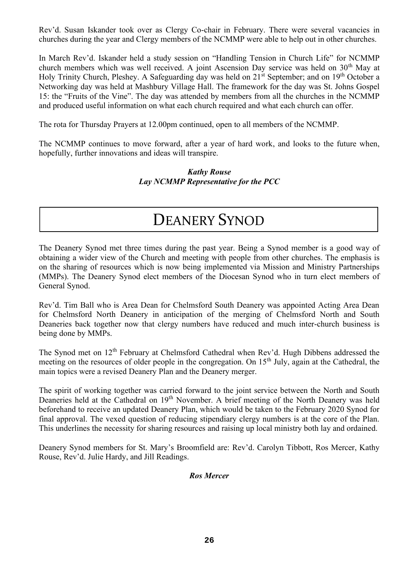Rev'd. Susan Iskander took over as Clergy Co-chair in February. There were several vacancies in churches during the year and Clergy members of the NCMMP were able to help out in other churches.

In March Rev'd. Iskander held a study session on "Handling Tension in Church Life" for NCMMP church members which was well received. A joint Ascension Day service was held on 30<sup>th</sup> May at Holy Trinity Church, Pleshey. A Safeguarding day was held on 21<sup>st</sup> September; and on 19<sup>th</sup> October a Networking day was held at Mashbury Village Hall. The framework for the day was St. Johns Gospel 15: the "Fruits of the Vine". The day was attended by members from all the churches in the NCMMP and produced useful information on what each church required and what each church can offer.

The rota for Thursday Prayers at 12.00pm continued, open to all members of the NCMMP.

The NCMMP continues to move forward, after a year of hard work, and looks to the future when, hopefully, further innovations and ideas will transpire.

> *Kathy Rouse Lay NCMMP Representative for the PCC*

### DEANERY SYNOD

The Deanery Synod met three times during the past year. Being a Synod member is a good way of obtaining a wider view of the Church and meeting with people from other churches. The emphasis is on the sharing of resources which is now being implemented via Mission and Ministry Partnerships (MMPs). The Deanery Synod elect members of the Diocesan Synod who in turn elect members of General Synod.

Rev'd. Tim Ball who is Area Dean for Chelmsford South Deanery was appointed Acting Area Dean for Chelmsford North Deanery in anticipation of the merging of Chelmsford North and South Deaneries back together now that clergy numbers have reduced and much inter-church business is being done by MMPs.

The Synod met on 12<sup>th</sup> February at Chelmsford Cathedral when Rev'd. Hugh Dibbens addressed the meeting on the resources of older people in the congregation. On 15<sup>th</sup> July, again at the Cathedral, the main topics were a revised Deanery Plan and the Deanery merger.

The spirit of working together was carried forward to the joint service between the North and South Deaneries held at the Cathedral on 19<sup>th</sup> November. A brief meeting of the North Deanery was held beforehand to receive an updated Deanery Plan, which would be taken to the February 2020 Synod for final approval. The vexed question of reducing stipendiary clergy numbers is at the core of the Plan. This underlines the necessity for sharing resources and raising up local ministry both lay and ordained.

Deanery Synod members for St. Mary's Broomfield are: Rev'd. Carolyn Tibbott, Ros Mercer, Kathy Rouse, Rev'd. Julie Hardy, and Jill Readings.

### *Ros Mercer*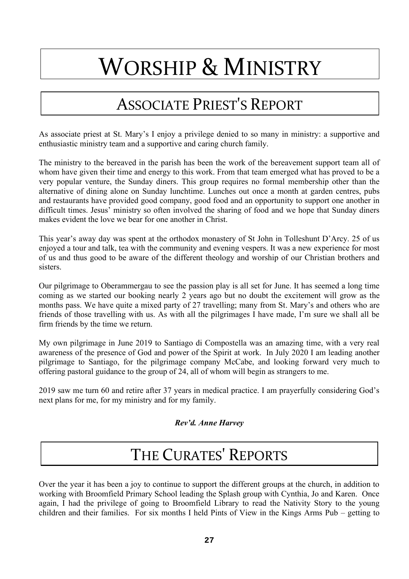# WORSHIP & MINISTRY

# ASSOCIATE PRIEST'S REPORT

As associate priest at St. Mary's I enjoy a privilege denied to so many in ministry: a supportive and enthusiastic ministry team and a supportive and caring church family.

The ministry to the bereaved in the parish has been the work of the bereavement support team all of whom have given their time and energy to this work. From that team emerged what has proved to be a very popular venture, the Sunday diners. This group requires no formal membership other than the alternative of dining alone on Sunday lunchtime. Lunches out once a month at garden centres, pubs and restaurants have provided good company, good food and an opportunity to support one another in difficult times. Jesus' ministry so often involved the sharing of food and we hope that Sunday diners makes evident the love we bear for one another in Christ.

This year's away day was spent at the orthodox monastery of St John in Tolleshunt D'Arcy. 25 of us enjoyed a tour and talk, tea with the community and evening vespers. It was a new experience for most of us and thus good to be aware of the different theology and worship of our Christian brothers and sisters.

Our pilgrimage to Oberammergau to see the passion play is all set for June. It has seemed a long time coming as we started our booking nearly 2 years ago but no doubt the excitement will grow as the months pass. We have quite a mixed party of 27 travelling; many from St. Mary's and others who are friends of those travelling with us. As with all the pilgrimages I have made, I'm sure we shall all be firm friends by the time we return.

My own pilgrimage in June 2019 to Santiago di Compostella was an amazing time, with a very real awareness of the presence of God and power of the Spirit at work. In July 2020 I am leading another pilgrimage to Santiago, for the pilgrimage company McCabe, and looking forward very much to offering pastoral guidance to the group of 24, all of whom will begin as strangers to me.

2019 saw me turn 60 and retire after 37 years in medical practice. I am prayerfully considering God's next plans for me, for my ministry and for my family.

### *Rev'd. Anne Harvey*

# THE CURATES' REPORTS

Over the year it has been a joy to continue to support the different groups at the church, in addition to working with Broomfield Primary School leading the Splash group with Cynthia, Jo and Karen. Once again, I had the privilege of going to Broomfield Library to read the Nativity Story to the young children and their families. For six months I held Pints of View in the Kings Arms Pub – getting to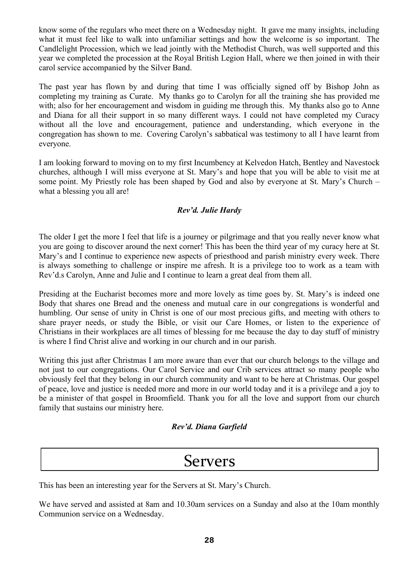know some of the regulars who meet there on a Wednesday night. It gave me many insights, including what it must feel like to walk into unfamiliar settings and how the welcome is so important. The Candlelight Procession, which we lead jointly with the Methodist Church, was well supported and this year we completed the procession at the Royal British Legion Hall, where we then joined in with their carol service accompanied by the Silver Band.

The past year has flown by and during that time I was officially signed off by Bishop John as completing my training as Curate. My thanks go to Carolyn for all the training she has provided me with; also for her encouragement and wisdom in guiding me through this. My thanks also go to Anne and Diana for all their support in so many different ways. I could not have completed my Curacy without all the love and encouragement, patience and understanding, which everyone in the congregation has shown to me. Covering Carolyn's sabbatical was testimony to all I have learnt from everyone.

I am looking forward to moving on to my first Incumbency at Kelvedon Hatch, Bentley and Navestock churches, although I will miss everyone at St. Mary's and hope that you will be able to visit me at some point. My Priestly role has been shaped by God and also by everyone at St. Mary's Church – what a blessing you all are!

### *Rev'd. Julie Hardy*

The older I get the more I feel that life is a journey or pilgrimage and that you really never know what you are going to discover around the next corner! This has been the third year of my curacy here at St. Mary's and I continue to experience new aspects of priesthood and parish ministry every week. There is always something to challenge or inspire me afresh. It is a privilege too to work as a team with Rev'd.s Carolyn, Anne and Julie and I continue to learn a great deal from them all.

Presiding at the Eucharist becomes more and more lovely as time goes by. St. Mary's is indeed one Body that shares one Bread and the oneness and mutual care in our congregations is wonderful and humbling. Our sense of unity in Christ is one of our most precious gifts, and meeting with others to share prayer needs, or study the Bible, or visit our Care Homes, or listen to the experience of Christians in their workplaces are all times of blessing for me because the day to day stuff of ministry is where I find Christ alive and working in our church and in our parish.

Writing this just after Christmas I am more aware than ever that our church belongs to the village and not just to our congregations. Our Carol Service and our Crib services attract so many people who obviously feel that they belong in our church community and want to be here at Christmas. Our gospel of peace, love and justice is needed more and more in our world today and it is a privilege and a joy to be a minister of that gospel in Broomfield. Thank you for all the love and support from our church family that sustains our ministry here.

### *Rev'd. Diana Garfield*

### Servers

This has been an interesting year for the Servers at St. Mary's Church.

We have served and assisted at 8am and 10.30am services on a Sunday and also at the 10am monthly Communion service on a Wednesday.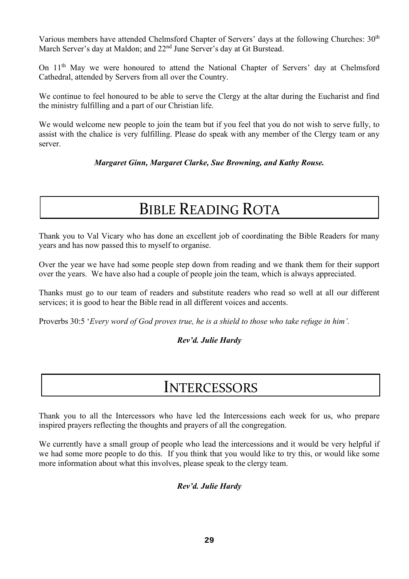Various members have attended Chelmsford Chapter of Servers' days at the following Churches: 30<sup>th</sup> March Server's day at Maldon; and 22<sup>nd</sup> June Server's day at Gt Burstead.

On 11<sup>th</sup> May we were honoured to attend the National Chapter of Servers' day at Chelmsford Cathedral, attended by Servers from all over the Country.

We continue to feel honoured to be able to serve the Clergy at the altar during the Eucharist and find the ministry fulfilling and a part of our Christian life.

We would welcome new people to join the team but if you feel that you do not wish to serve fully, to assist with the chalice is very fulfilling. Please do speak with any member of the Clergy team or any server.

*Margaret Ginn, Margaret Clarke, Sue Browning, and Kathy Rouse.*

# BIBLE READING ROTA

Thank you to Val Vicary who has done an excellent job of coordinating the Bible Readers for many years and has now passed this to myself to organise.

Over the year we have had some people step down from reading and we thank them for their support over the years. We have also had a couple of people join the team, which is always appreciated.

Thanks must go to our team of readers and substitute readers who read so well at all our different services; it is good to hear the Bible read in all different voices and accents.

Proverbs 30:5 '*Every word of God proves true, he is a shield to those who take refuge in him'.*

### *Rev'd. Julie Hardy*

### **INTERCESSORS**

Thank you to all the Intercessors who have led the Intercessions each week for us, who prepare inspired prayers reflecting the thoughts and prayers of all the congregation.

We currently have a small group of people who lead the intercessions and it would be very helpful if we had some more people to do this. If you think that you would like to try this, or would like some more information about what this involves, please speak to the clergy team.

### *Rev'd. Julie Hardy*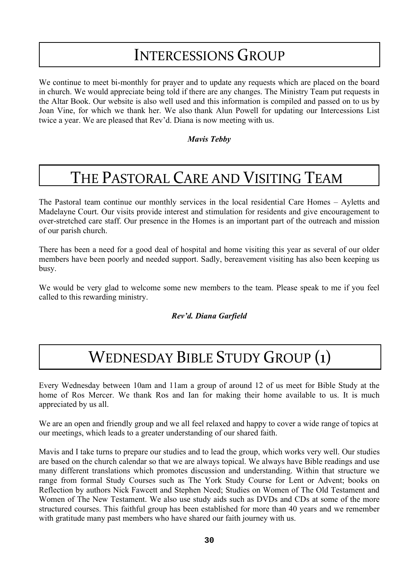### INTERCESSIONS GROUP

We continue to meet bi-monthly for prayer and to update any requests which are placed on the board in church. We would appreciate being told if there are any changes. The Ministry Team put requests in the Altar Book. Our website is also well used and this information is compiled and passed on to us by Joan Vine, for which we thank her. We also thank Alun Powell for updating our Intercessions List twice a year. We are pleased that Rev'd. Diana is now meeting with us.

*Mavis Tebby*

# THE PASTORAL CARE AND VISITING TEAM

I

The Pastoral team continue our monthly services in the local residential Care Homes – Ayletts and Madelayne Court. Our visits provide interest and stimulation for residents and give encouragement to over-stretched care staff. Our presence in the Homes is an important part of the outreach and mission of our parish church.

There has been a need for a good deal of hospital and home visiting this year as several of our older members have been poorly and needed support. Sadly, bereavement visiting has also been keeping us busy.

We would be very glad to welcome some new members to the team. Please speak to me if you feel called to this rewarding ministry.

### *Rev'd. Diana Garfield*

# WEDNESDAY BIBLE STUDY GROUP (1)

Every Wednesday between 10am and 11am a group of around 12 of us meet for Bible Study at the home of Ros Mercer. We thank Ros and Ian for making their home available to us. It is much appreciated by us all.

We are an open and friendly group and we all feel relaxed and happy to cover a wide range of topics at our meetings, which leads to a greater understanding of our shared faith.

Mavis and I take turns to prepare our studies and to lead the group, which works very well. Our studies are based on the church calendar so that we are always topical. We always have Bible readings and use many different translations which promotes discussion and understanding. Within that structure we range from formal Study Courses such as The York Study Course for Lent or Advent; books on Reflection by authors Nick Fawcett and Stephen Need; Studies on Women of The Old Testament and Women of The New Testament. We also use study aids such as DVDs and CDs at some of the more structured courses. This faithful group has been established for more than 40 years and we remember with gratitude many past members who have shared our faith journey with us.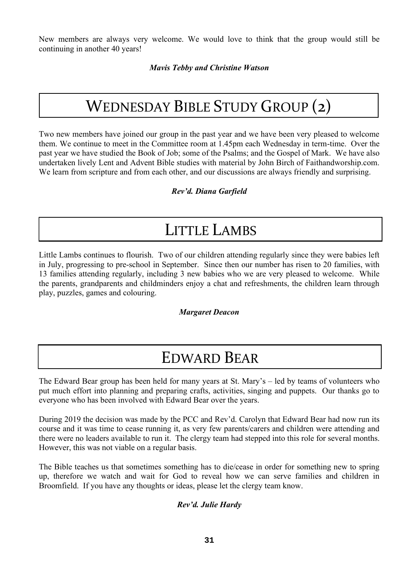New members are always very welcome. We would love to think that the group would still be continuing in another 40 years!

*Mavis Tebby and Christine Watson*

# WEDNESDAY BIBLE STUDY GROUP (2)

Two new members have joined our group in the past year and we have been very pleased to welcome them. We continue to meet in the Committee room at 1.45pm each Wednesday in term-time. Over the past year we have studied the Book of Job; some of the Psalms; and the Gospel of Mark. We have also undertaken lively Lent and Advent Bible studies with material by John Birch of Faithandworship.com. We learn from scripture and from each other, and our discussions are always friendly and surprising.

### *Rev'd. Diana Garfield*

### LITTLE LAMBS

Little Lambs continues to flourish. Two of our children attending regularly since they were babies left in July, progressing to pre-school in September. Since then our number has risen to 20 families, with 13 families attending regularly, including 3 new babies who we are very pleased to welcome. While the parents, grandparents and childminders enjoy a chat and refreshments, the children learn through play, puzzles, games and colouring.

### *Margaret Deacon*

### EDWARD BEAR

The Edward Bear group has been held for many years at St. Mary's – led by teams of volunteers who put much effort into planning and preparing crafts, activities, singing and puppets. Our thanks go to everyone who has been involved with Edward Bear over the years.

During 2019 the decision was made by the PCC and Rev'd. Carolyn that Edward Bear had now run its course and it was time to cease running it, as very few parents/carers and children were attending and there were no leaders available to run it. The clergy team had stepped into this role for several months. However, this was not viable on a regular basis.

The Bible teaches us that sometimes something has to die/cease in order for something new to spring up, therefore we watch and wait for God to reveal how we can serve families and children in Broomfield. If you have any thoughts or ideas, please let the clergy team know.

### *Rev'd. Julie Hardy*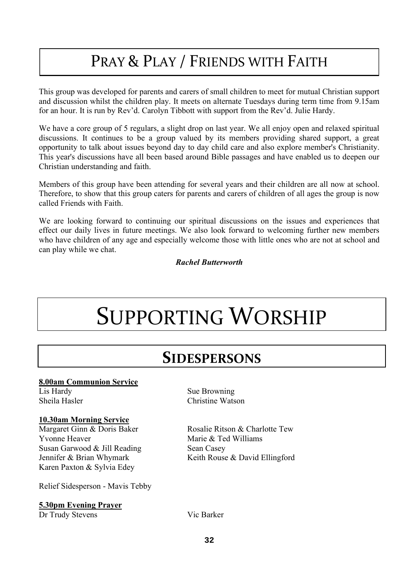# PRAY & PLAY / FRIENDS WITH FAITH

This group was developed for parents and carers of small children to meet for mutual Christian support and discussion whilst the children play. It meets on alternate Tuesdays during term time from 9.15am for an hour. It is run by Rev'd. Carolyn Tibbott with support from the Rev'd. Julie Hardy.

We have a core group of 5 regulars, a slight drop on last year. We all enjoy open and relaxed spiritual discussions. It continues to be a group valued by its members providing shared support, a great opportunity to talk about issues beyond day to day child care and also explore member's Christianity. This year's discussions have all been based around Bible passages and have enabled us to deepen our Christian understanding and faith.

Members of this group have been attending for several years and their children are all now at school. Therefore, to show that this group caters for parents and carers of children of all ages the group is now called Friends with Faith.

We are looking forward to continuing our spiritual discussions on the issues and experiences that effect our daily lives in future meetings. We also look forward to welcoming further new members who have children of any age and especially welcome those with little ones who are not at school and can play while we chat.

### *Rachel Butterworth*

# SUPPORTING WORSHIP

### **SIDESPERSONS**

#### **8.00am Communion Service** Lis Hardy Sue Browning

Sheila Hasler Christine Watson

### **10.30am Morning Service**

Yvonne Heaver Marie & Ted Williams Susan Garwood & Jill Reading Sean Casey Karen Paxton & Sylvia Edey

Relief Sidesperson - Mavis Tebby

### **5.30pm Evening Prayer**

Dr Trudy Stevens Vic Barker

Margaret Ginn & Doris Baker Rosalie Ritson & Charlotte Tew Jennifer & Brian Whymark Keith Rouse & David Ellingford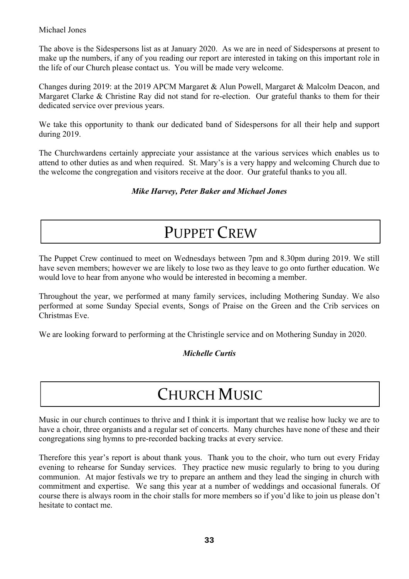### Michael Jones

The above is the Sidespersons list as at January 2020. As we are in need of Sidespersons at present to make up the numbers, if any of you reading our report are interested in taking on this important role in the life of our Church please contact us. You will be made very welcome.

Changes during 2019: at the 2019 APCM Margaret & Alun Powell, Margaret & Malcolm Deacon, and Margaret Clarke & Christine Ray did not stand for re-election. Our grateful thanks to them for their dedicated service over previous years.

We take this opportunity to thank our dedicated band of Sidespersons for all their help and support during 2019.

The Churchwardens certainly appreciate your assistance at the various services which enables us to attend to other duties as and when required. St. Mary's is a very happy and welcoming Church due to the welcome the congregation and visitors receive at the door. Our grateful thanks to you all.

### *Mike Harvey, Peter Baker and Michael Jones*

### PUPPET CREW

The Puppet Crew continued to meet on Wednesdays between 7pm and 8.30pm during 2019. We still have seven members; however we are likely to lose two as they leave to go onto further education. We would love to hear from anyone who would be interested in becoming a member.

Throughout the year, we performed at many family services, including Mothering Sunday. We also performed at some Sunday Special events, Songs of Praise on the Green and the Crib services on Christmas Eve.

We are looking forward to performing at the Christingle service and on Mothering Sunday in 2020.

### *Michelle Curtis*

### CHURCH MUSIC

Music in our church continues to thrive and I think it is important that we realise how lucky we are to have a choir, three organists and a regular set of concerts. Many churches have none of these and their congregations sing hymns to pre-recorded backing tracks at every service.

Therefore this year's report is about thank yous. Thank you to the choir, who turn out every Friday evening to rehearse for Sunday services. They practice new music regularly to bring to you during communion. At major festivals we try to prepare an anthem and they lead the singing in church with commitment and expertise. We sang this year at a number of weddings and occasional funerals. Of course there is always room in the choir stalls for more members so if you'd like to join us please don't hesitate to contact me.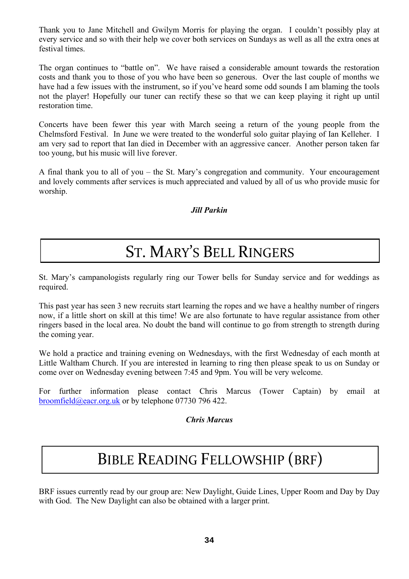Thank you to Jane Mitchell and Gwilym Morris for playing the organ. I couldn't possibly play at every service and so with their help we cover both services on Sundays as well as all the extra ones at festival times.

The organ continues to "battle on". We have raised a considerable amount towards the restoration costs and thank you to those of you who have been so generous. Over the last couple of months we have had a few issues with the instrument, so if you've heard some odd sounds I am blaming the tools not the player! Hopefully our tuner can rectify these so that we can keep playing it right up until restoration time.

Concerts have been fewer this year with March seeing a return of the young people from the Chelmsford Festival. In June we were treated to the wonderful solo guitar playing of Ian Kelleher. I am very sad to report that Ian died in December with an aggressive cancer. Another person taken far too young, but his music will live forever.

A final thank you to all of you – the St. Mary's congregation and community. Your encouragement and lovely comments after services is much appreciated and valued by all of us who provide music for worship.

### *Jill Parkin*

# ST. MARY'S BELL RINGERS

St. Mary's campanologists regularly ring our Tower bells for Sunday service and for weddings as required.

This past year has seen 3 new recruits start learning the ropes and we have a healthy number of ringers now, if a little short on skill at this time! We are also fortunate to have regular assistance from other ringers based in the local area. No doubt the band will continue to go from strength to strength during the coming year.

We hold a practice and training evening on Wednesdays, with the first Wednesday of each month at Little Waltham Church. If you are interested in learning to ring then please speak to us on Sunday or come over on Wednesday evening between 7:45 and 9pm. You will be very welcome.

For further information please contact Chris Marcus (Tower Captain) by email at [broomfield@eacr.org.uk](mailto:broomfield@eacr.org.uk) or by telephone 07730 796 422.

### *Chris Marcus*

### BIBLE READING FELLOWSHIP (BRF)

BRF issues currently read by our group are: New Daylight, Guide Lines, Upper Room and Day by Day with God. The New Daylight can also be obtained with a larger print.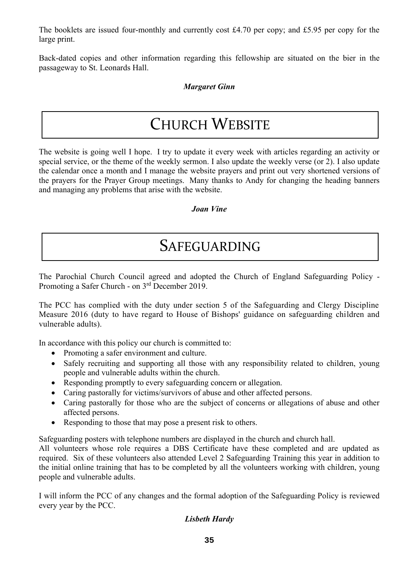The booklets are issued four-monthly and currently cost £4.70 per copy; and £5.95 per copy for the large print.

Back-dated copies and other information regarding this fellowship are situated on the bier in the passageway to St. Leonards Hall.

### *Margaret Ginn*

## CHURCH WEBSITE

The website is going well I hope. I try to update it every week with articles regarding an activity or special service, or the theme of the weekly sermon. I also update the weekly verse (or 2). I also update the calendar once a month and I manage the website prayers and print out very shortened versions of the prayers for the Prayer Group meetings. Many thanks to Andy for changing the heading banners and managing any problems that arise with the website.

### *Joan Vine*

### SAFEGUARDING

The Parochial Church Council agreed and adopted the Church of England Safeguarding Policy - Promoting a Safer Church - on 3rd December 2019.

The PCC has complied with the duty under section 5 of the Safeguarding and Clergy Discipline Measure 2016 (duty to have regard to House of Bishops' guidance on safeguarding children and vulnerable adults).

In accordance with this policy our church is committed to:

- Promoting a safer environment and culture.
- Safely recruiting and supporting all those with any responsibility related to children, young people and vulnerable adults within the church.
- Responding promptly to every safeguarding concern or allegation.
- Caring pastorally for victims/survivors of abuse and other affected persons.
- Caring pastorally for those who are the subject of concerns or allegations of abuse and other affected persons.
- Responding to those that may pose a present risk to others.

Safeguarding posters with telephone numbers are displayed in the church and church hall.

All volunteers whose role requires a DBS Certificate have these completed and are updated as required. Six of these volunteers also attended Level 2 Safeguarding Training this year in addition to the initial online training that has to be completed by all the volunteers working with children, young people and vulnerable adults.

I will inform the PCC of any changes and the formal adoption of the Safeguarding Policy is reviewed every year by the PCC.

### *Lisbeth Hardy*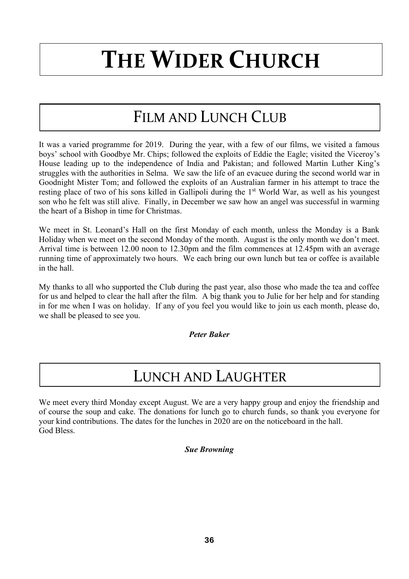# **THE WIDER CHURCH**

# FILM AND LUNCH CLUB

It was a varied programme for 2019. During the year, with a few of our films, we visited a famous boys' school with Goodbye Mr. Chips; followed the exploits of Eddie the Eagle; visited the Viceroy's House leading up to the independence of India and Pakistan; and followed Martin Luther King's struggles with the authorities in Selma. We saw the life of an evacuee during the second world war in Goodnight Mister Tom; and followed the exploits of an Australian farmer in his attempt to trace the resting place of two of his sons killed in Gallipoli during the 1<sup>st</sup> World War, as well as his youngest son who he felt was still alive. Finally, in December we saw how an angel was successful in warming the heart of a Bishop in time for Christmas.

We meet in St. Leonard's Hall on the first Monday of each month, unless the Monday is a Bank Holiday when we meet on the second Monday of the month. August is the only month we don't meet. Arrival time is between 12.00 noon to 12.30pm and the film commences at 12.45pm with an average running time of approximately two hours. We each bring our own lunch but tea or coffee is available in the hall.

My thanks to all who supported the Club during the past year, also those who made the tea and coffee for us and helped to clear the hall after the film. A big thank you to Julie for her help and for standing in for me when I was on holiday. If any of you feel you would like to join us each month, please do, we shall be pleased to see you.

*Peter Baker*

### LUNCH AND LAUGHTER

We meet every third Monday except August. We are a very happy group and enjoy the friendship and of course the soup and cake. The donations for lunch go to church funds, so thank you everyone for your kind contributions. The dates for the lunches in 2020 are on the noticeboard in the hall. God Bless.

### *Sue Browning*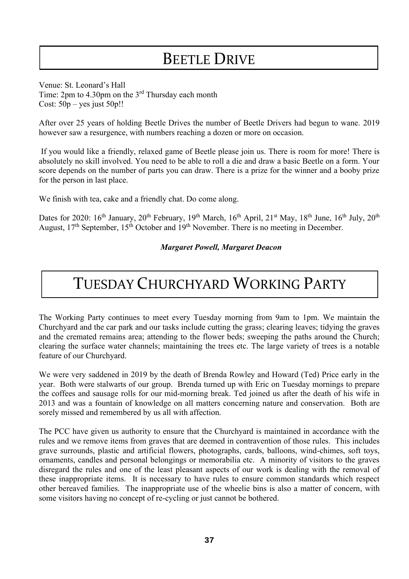# BEETLE DRIVE

Venue: St. Leonard's Hall Time: 2pm to 4.30pm on the 3<sup>rd</sup> Thursday each month Cost: 50p – yes just 50p!!

After over 25 years of holding Beetle Drives the number of Beetle Drivers had begun to wane. 2019 however saw a resurgence, with numbers reaching a dozen or more on occasion.

If you would like a friendly, relaxed game of Beetle please join us. There is room for more! There is absolutely no skill involved. You need to be able to roll a die and draw a basic Beetle on a form. Your score depends on the number of parts you can draw. There is a prize for the winner and a booby prize for the person in last place.

We finish with tea, cake and a friendly chat. Do come along.

Dates for 2020: 16<sup>th</sup> January, 20<sup>th</sup> February, 19<sup>th</sup> March, 16<sup>th</sup> April, 21<sup>st</sup> May, 18<sup>th</sup> June, 16<sup>th</sup> July, 20<sup>th</sup> August,  $17<sup>th</sup>$  September,  $15<sup>th</sup>$  October and  $19<sup>th</sup>$  November. There is no meeting in December.

### *Margaret Powell, Margaret Deacon*

### TUESDAY CHURCHYARD WORKING PARTY

The Working Party continues to meet every Tuesday morning from 9am to 1pm. We maintain the Churchyard and the car park and our tasks include cutting the grass; clearing leaves; tidying the graves and the cremated remains area; attending to the flower beds; sweeping the paths around the Church; clearing the surface water channels; maintaining the trees etc. The large variety of trees is a notable feature of our Churchyard.

We were very saddened in 2019 by the death of Brenda Rowley and Howard (Ted) Price early in the year. Both were stalwarts of our group. Brenda turned up with Eric on Tuesday mornings to prepare the coffees and sausage rolls for our mid-morning break. Ted joined us after the death of his wife in 2013 and was a fountain of knowledge on all matters concerning nature and conservation. Both are sorely missed and remembered by us all with affection.

The PCC have given us authority to ensure that the Churchyard is maintained in accordance with the rules and we remove items from graves that are deemed in contravention of those rules. This includes grave surrounds, plastic and artificial flowers, photographs, cards, balloons, wind-chimes, soft toys, ornaments, candles and personal belongings or memorabilia etc. A minority of visitors to the graves disregard the rules and one of the least pleasant aspects of our work is dealing with the removal of these inappropriate items. It is necessary to have rules to ensure common standards which respect other bereaved families. The inappropriate use of the wheelie bins is also a matter of concern, with some visitors having no concept of re-cycling or just cannot be bothered.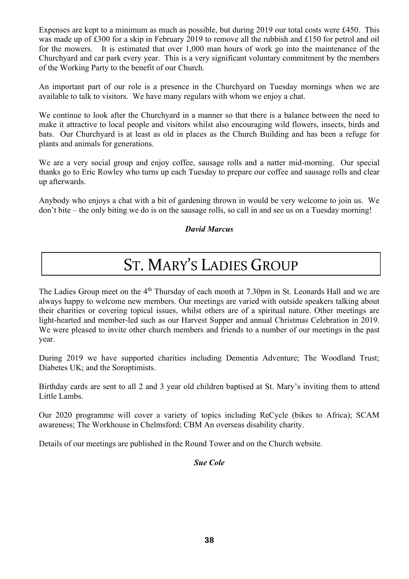Expenses are kept to a minimum as much as possible, but during 2019 our total costs were £450. This was made up of £300 for a skip in February 2019 to remove all the rubbish and £150 for petrol and oil for the mowers. It is estimated that over 1,000 man hours of work go into the maintenance of the Churchyard and car park every year. This is a very significant voluntary commitment by the members of the Working Party to the benefit of our Church.

An important part of our role is a presence in the Churchyard on Tuesday mornings when we are available to talk to visitors. We have many regulars with whom we enjoy a chat.

We continue to look after the Churchyard in a manner so that there is a balance between the need to make it attractive to local people and visitors whilst also encouraging wild flowers, insects, birds and bats. Our Churchyard is at least as old in places as the Church Building and has been a refuge for plants and animals for generations.

We are a very social group and enjoy coffee, sausage rolls and a natter mid-morning. Our special thanks go to Eric Rowley who turns up each Tuesday to prepare our coffee and sausage rolls and clear up afterwards.

Anybody who enjoys a chat with a bit of gardening thrown in would be very welcome to join us. We don't bite – the only biting we do is on the sausage rolls, so call in and see us on a Tuesday morning!

### *David Marcus*

# ST. MARY'S LADIES GROUP

The Ladies Group meet on the 4<sup>th</sup> Thursday of each month at 7.30pm in St. Leonards Hall and we are always happy to welcome new members. Our meetings are varied with outside speakers talking about their charities or covering topical issues, whilst others are of a spiritual nature. Other meetings are light-hearted and member-led such as our Harvest Supper and annual Christmas Celebration in 2019. We were pleased to invite other church members and friends to a number of our meetings in the past year.

During 2019 we have supported charities including Dementia Adventure; The Woodland Trust; Diabetes UK; and the Soroptimists.

Birthday cards are sent to all 2 and 3 year old children baptised at St. Mary's inviting them to attend Little Lambs.

Our 2020 programme will cover a variety of topics including ReCycle (bikes to Africa); SCAM awareness; The Workhouse in Chelmsford; CBM An overseas disability charity.

Details of our meetings are published in the Round Tower and on the Church website.

### *Sue Cole*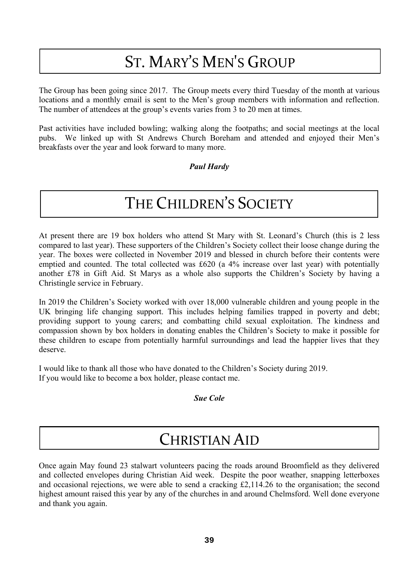# ST. MARY'S MEN'S GROUP

The Group has been going since 2017. The Group meets every third Tuesday of the month at various locations and a monthly email is sent to the Men's group members with information and reflection. The number of attendees at the group's events varies from 3 to 20 men at times.

Past activities have included bowling; walking along the footpaths; and social meetings at the local pubs. We linked up with St Andrews Church Boreham and attended and enjoyed their Men's breakfasts over the year and look forward to many more.

### *Paul Hardy*

## THE CHILDREN'S SOCIETY

At present there are 19 box holders who attend St Mary with St. Leonard's Church (this is 2 less compared to last year). These supporters of the Children's Society collect their loose change during the year. The boxes were collected in November 2019 and blessed in church before their contents were emptied and counted. The total collected was £620 (a 4% increase over last year) with potentially another £78 in Gift Aid. St Marys as a whole also supports the Children's Society by having a Christingle service in February.

In 2019 the Children's Society worked with over 18,000 vulnerable children and young people in the UK bringing life changing support. This includes helping families trapped in poverty and debt; providing support to young carers; and combatting child sexual exploitation. The kindness and compassion shown by box holders in donating enables the Children's Society to make it possible for these children to escape from potentially harmful surroundings and lead the happier lives that they deserve.

I would like to thank all those who have donated to the Children's Society during 2019. If you would like to become a box holder, please contact me.

### *Sue Cole*

### CHRISTIAN AID

Once again May found 23 stalwart volunteers pacing the roads around Broomfield as they delivered and collected envelopes during Christian Aid week. Despite the poor weather, snapping letterboxes and occasional rejections, we were able to send a cracking £2,114.26 to the organisation; the second highest amount raised this year by any of the churches in and around Chelmsford. Well done everyone and thank you again. and thank you again.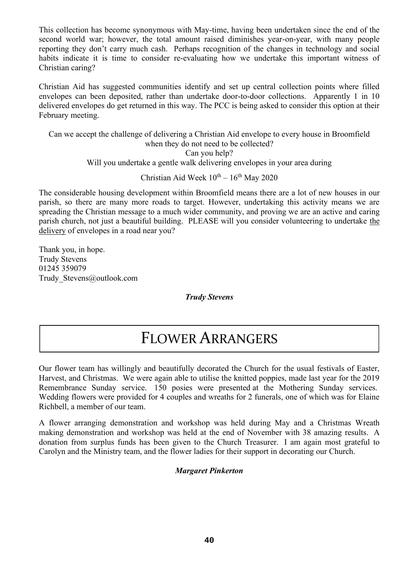This collection has become synonymous with May-time, having been undertaken since the end of the second world war; however, the total amount raised diminishes year-on-year, with many people reporting they don't carry much cash. Perhaps recognition of the changes in technology and social habits indicate it is time to consider re-evaluating how we undertake this important witness of Christian caring?

Christian Aid has suggested communities identify and set up central collection points where filled envelopes can been deposited, rather than undertake door-to-door collections. Apparently 1 in 10 delivered envelopes do get returned in this way. The PCC is being asked to consider this option at their February meeting.

Can we accept the challenge of delivering a Christian Aid envelope to every house in Broomfield when they do not need to be collected? Can you help? Will you undertake a gentle walk delivering envelopes in your area during

Christian Aid Week  $10^{th} - 16^{th}$  May 2020

The considerable housing development within Broomfield means there are a lot of new houses in our parish, so there are many more roads to target. However, undertaking this activity means we are spreading the Christian message to a much wider community, and proving we are an active and caring parish church, not just a beautiful building. PLEASE will you consider volunteering to undertake the delivery of envelopes in a road near you?

Thank you, in hope. Trudy Stevens 01245 359079 Trudy\_Stevens@outlook.com

*Trudy Stevens*

### FLOWER ARRANGERS

Our flower team has willingly and beautifully decorated the Church for the usual festivals of Easter, Harvest, and Christmas. We were again able to utilise the knitted poppies, made last year for the 2019 Remembrance Sunday service. 150 posies were presented at the Mothering Sunday services. Wedding flowers were provided for 4 couples and wreaths for 2 funerals, one of which was for Elaine Richbell, a member of our team.

A flower arranging demonstration and workshop was held during May and a Christmas Wreath making demonstration and workshop was held at the end of November with 38 amazing results. A donation from surplus funds has been given to the Church Treasurer. I am again most grateful to Carolyn and the Ministry team, and the flower ladies for their support in decorating our Church.

### *Margaret Pinkerton*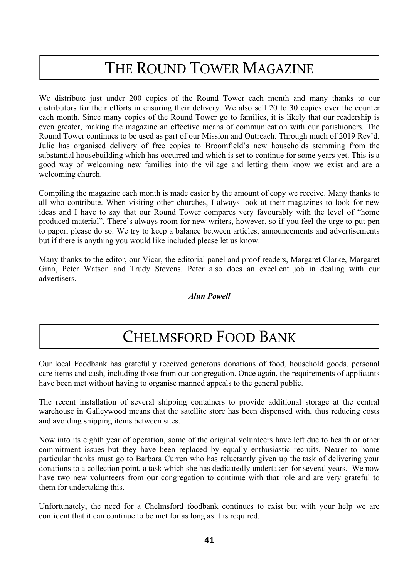# THE ROUND TOWER MAGAZINE

We distribute just under 200 copies of the Round Tower each month and many thanks to our distributors for their efforts in ensuring their delivery. We also sell 20 to 30 copies over the counter each month. Since many copies of the Round Tower go to families, it is likely that our readership is even greater, making the magazine an effective means of communication with our parishioners. The Round Tower continues to be used as part of our Mission and Outreach. Through much of 2019 Rev'd. Julie has organised delivery of free copies to Broomfield's new households stemming from the substantial housebuilding which has occurred and which is set to continue for some years yet. This is a good way of welcoming new families into the village and letting them know we exist and are a welcoming church.

Compiling the magazine each month is made easier by the amount of copy we receive. Many thanks to all who contribute. When visiting other churches, I always look at their magazines to look for new ideas and I have to say that our Round Tower compares very favourably with the level of "home produced material". There's always room for new writers, however, so if you feel the urge to put pen to paper, please do so. We try to keep a balance between articles, announcements and advertisements but if there is anything you would like included please let us know.

Many thanks to the editor, our Vicar, the editorial panel and proof readers, Margaret Clarke, Margaret Ginn, Peter Watson and Trudy Stevens. Peter also does an excellent job in dealing with our advertisers.

### *Alun Powell*

### CHELMSFORD FOOD BANK

Our local Foodbank has gratefully received generous donations of food, household goods, personal care items and cash, including those from our congregation. Once again, the requirements of applicants have been met without having to organise manned appeals to the general public.

The recent installation of several shipping containers to provide additional storage at the central warehouse in Galleywood means that the satellite store has been dispensed with, thus reducing costs and avoiding shipping items between sites.

Now into its eighth year of operation, some of the original volunteers have left due to health or other commitment issues but they have been replaced by equally enthusiastic recruits. Nearer to home particular thanks must go to Barbara Curren who has reluctantly given up the task of delivering your donations to a collection point, a task which she has dedicatedly undertaken for several years. We now have two new volunteers from our congregation to continue with that role and are very grateful to them for undertaking this.

Unfortunately, the need for a Chelmsford foodbank continues to exist but with your help we are confident that it can continue to be met for as long as it is required.